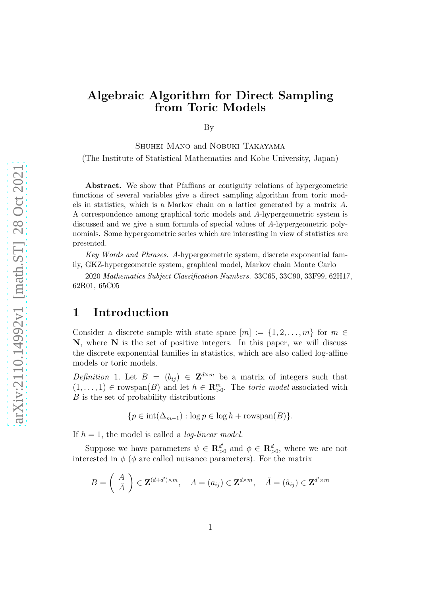# Algebraic Algorithm for Direct Sampling from Toric Models

By

Shuhei Mano and Nobuki Takayama (The Institute of Statistical Mathematics and Kobe University, Japan)

Abstract. We show that Pfaffians or contiguity relations of hypergeometric functions of several variables give a direct sampling algorithm from toric models in statistics, which is a Markov chain on a lattice generated by a matrix A. A correspondence among graphical toric models and A-hypergeometric system is discussed and we give a sum formula of special values of A-hypergeometric polynomials. Some hypergeometric series which are interesting in view of statistics are presented.

Key Words and Phrases. A-hypergeometric system, discrete exponential family, GKZ-hypergeometric system, graphical model, Markov chain Monte Carlo

2020 Mathematics Subject Classification Numbers. 33C65, 33C90, 33F99, 62H17, 62R01, 65C05

# <span id="page-0-1"></span>1 Introduction

Consider a discrete sample with state space  $[m] := \{1, 2, \ldots, m\}$  for  $m \in$ N, where N is the set of positive integers. In this paper, we will discuss the discrete exponential families in statistics, which are also called log-affine models or toric models.

<span id="page-0-0"></span>Definition 1. Let  $B = (b_{ij}) \in \mathbf{Z}^{d \times m}$  be a matrix of integers such that  $(1, \ldots, 1) \in \text{rowspan}(B)$  and let  $h \in \mathbb{R}_{>0}^m$ . The *toric model* associated with B is the set of probability distributions

 ${p \in \text{int}(\Delta_{m-1}) : \log p \in \log h + \text{rowspan}(B)}$ .

If  $h = 1$ , the model is called a *log-linear model*.

Suppose we have parameters  $\psi \in \mathbb{R}^{d'}_{\geq}$  $\mathbf{R}_{>0}^{d'}$  and  $\phi \in \mathbf{R}_{>0}^{d}$ , where we are not interested in  $\phi$  ( $\phi$  are called nuisance parameters). For the matrix

$$
B = \begin{pmatrix} A \\ \tilde{A} \end{pmatrix} \in \mathbf{Z}^{(d+d')\times m}, \quad A = (a_{ij}) \in \mathbf{Z}^{d\times m}, \quad \tilde{A} = (\tilde{a}_{ij}) \in \mathbf{Z}^{d'\times m}
$$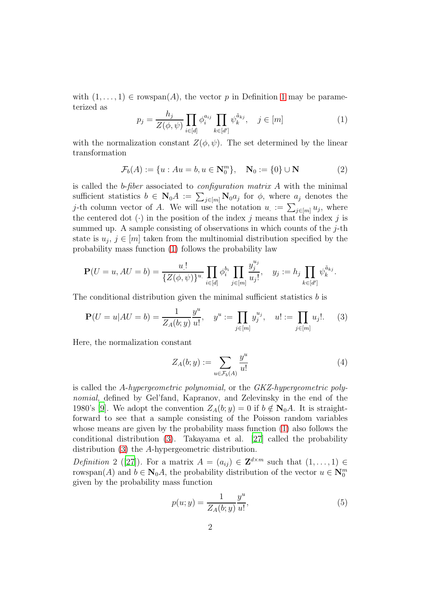with  $(1, \ldots, 1) \in \text{rowspan}(A)$  $(1, \ldots, 1) \in \text{rowspan}(A)$  $(1, \ldots, 1) \in \text{rowspan}(A)$ , the vector p in Definition 1 may be parameterized as

<span id="page-1-0"></span>
$$
p_j = \frac{h_j}{Z(\phi, \psi)} \prod_{i \in [d]} \phi_i^{a_{ij}} \prod_{k \in [d']} \psi_k^{\tilde{a}_{kj}}, \quad j \in [m]
$$
 (1)

with the normalization constant  $Z(\phi, \psi)$ . The set determined by the linear transformation

<span id="page-1-2"></span>
$$
\mathcal{F}_b(A) := \{ u : Au = b, u \in \mathbf{N}_0^m \}, \quad \mathbf{N}_0 := \{ 0 \} \cup \mathbf{N} \tag{2}
$$

is called the b-fiber associated to *configuration matrix A* with the minimal sufficient statistics  $b \in \mathbb{N}_0 A := \sum_{j \in [m]} \mathbb{N}_0 a_j$  for  $\phi$ , where  $a_j$  denotes the j-th column vector of A. We will use the notation  $u_{\cdot} := \sum_{j \in [m]} u_j$ , where the centered dot  $(\cdot)$  in the position of the index j means that the index j is summed up. A sample consisting of observations in which counts of the  $j$ -th state is  $u_j, j \in [m]$  taken from the multinomial distribution specified by the probability mass function [\(1\)](#page-1-0) follows the probability law

$$
\mathbf{P}(U=u, AU=b) = \frac{u!}{\{Z(\phi, \psi)\}^{u}} \prod_{i \in [d]} \phi_i^{b_i} \prod_{j \in [m]} \frac{y_j^{u_j}}{u_j!}, \quad y_j := h_j \prod_{k \in [d']} \psi_k^{\tilde{a}_{kj}}.
$$

The conditional distribution given the minimal sufficient statistics b is

<span id="page-1-1"></span>
$$
\mathbf{P}(U=u|AU=b) = \frac{1}{Z_A(b;y)}\frac{y^u}{u!}, \quad y^u := \prod_{j\in[m]} y_j^{u_j}, \quad u! := \prod_{j\in[m]} u_j!.
$$
 (3)

Here, the normalization constant

<span id="page-1-3"></span>
$$
Z_A(b; y) := \sum_{u \in \mathcal{F}_b(A)} \frac{y^u}{u!} \tag{4}
$$

is called the A-hypergeometric polynomial, or the GKZ-hypergeometric polynomial, defined by Gel'fand, Kapranov, and Zelevinsky in the end of the 1980's [\[9](#page-38-0)]. We adopt the convention  $Z_A(b; y) = 0$  if  $b \notin N_0A$ . It is straightforward to see that a sample consisting of the Poisson random variables whose means are given by the probability mass function [\(1\)](#page-1-0) also follows the conditional distribution [\(3\)](#page-1-1). Takayama et al. [\[27\]](#page-39-0) called the probability distribution [\(3\)](#page-1-1) the A-hypergeometric distribution.

*Definition*2 ([\[27](#page-39-0)]). For a matrix  $A = (a_{ij}) \in \mathbf{Z}^{d \times m}$  such that  $(1, \ldots, 1) \in$ rowspan(A) and  $b \in \mathbb{N}_0 A$ , the probability distribution of the vector  $u \in \mathbb{N}_0^m$ given by the probability mass function

<span id="page-1-4"></span>
$$
p(u; y) = \frac{1}{Z_A(b; y)} \frac{y^u}{u!},\tag{5}
$$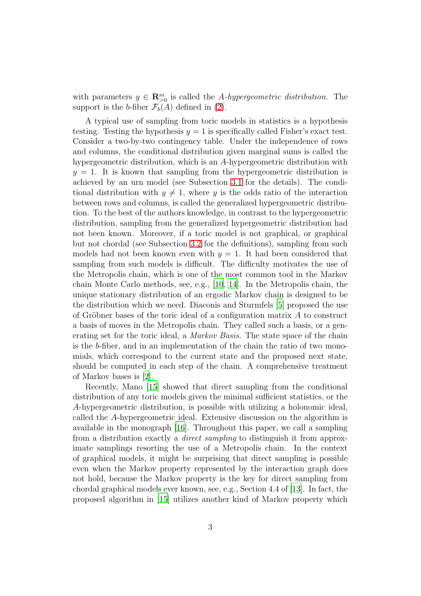with parameters  $y \in \mathbb{R}_{\geq 0}^m$  is called the A-hypergeometric distribution. The support is the b-fiber  $\mathcal{F}_b(A)$  defined in [\(2\)](#page-1-2).

A typical use of sampling from toric models in statistics is a hypothesis testing. Testing the hypothesis  $y = 1$  is specifically called Fisher's exact test. Consider a two-by-two contingency table. Under the independence of rows and columns, the conditional distribution given marginal sums is called the hypergeometric distribution, which is an A-hypergeometric distribution with  $y = 1$ . It is known that sampling from the hypergeometric distribution is achieved by an urn model (see Subsection [3.1](#page-13-0) for the details). The conditional distribution with  $y \neq 1$ , where y is the odds ratio of the interaction between rows and columns, is called the generalized hypergeometric distribution. To the best of the authors knowledge, in contrast to the hypergeometric distribution, sampling from the generalized hypergeometric distribution had not been known. Moreover, if a toric model is not graphical, or graphical but not chordal (see Subsection [3.2](#page-15-0) for the definitions), sampling from such models had not been known even with  $y = 1$ . It had been considered that sampling from such models is difficult. The difficulty motivates the use of the Metropolis chain, which is one of the most common tool in the Markov chain Monte Carlo methods, see, e.g., [\[10,](#page-38-1) [14\]](#page-38-2). In the Metropolis chain, the unique stationary distribution of an ergodic Markov chain is designed to be the distribution which we need. Diaconis and Sturmfels [\[5\]](#page-37-0) proposed the use of Gröbner bases of the toric ideal of a configuration matrix  $A$  to construct a basis of moves in the Metropolis chain. They called such a basis, or a generating set for the toric ideal, a *Markov Basis*. The state space of the chain is the b-fiber, and in an implementation of the chain the ratio of two monomials, which correspond to the current state and the proposed next state, should be computed in each step of the chain. A comprehensive treatment of Markov bases is [\[2](#page-37-1)].

Recently, Mano [\[15\]](#page-38-3) showed that direct sampling from the conditional distribution of any toric models given the minimal sufficient statistics, or the A-hypergeometric distribution, is possible with utilizing a holonomic ideal, called the A-hypergeometric ideal. Extensive discussion on the algorithm is available in the monograph [\[16](#page-38-4)]. Throughout this paper, we call a sampling from a distribution exactly a direct sampling to distinguish it from approximate samplings resorting the use of a Metropolis chain. In the context of graphical models, it might be surprising that direct sampling is possible even when the Markov property represented by the interaction graph does not hold, because the Markov property is the key for direct sampling from chordal graphical models ever known, see, e.g., Section 4.4 of [\[13\]](#page-38-5). In fact, the proposed algorithm in [\[15\]](#page-38-3) utilizes another kind of Markov property which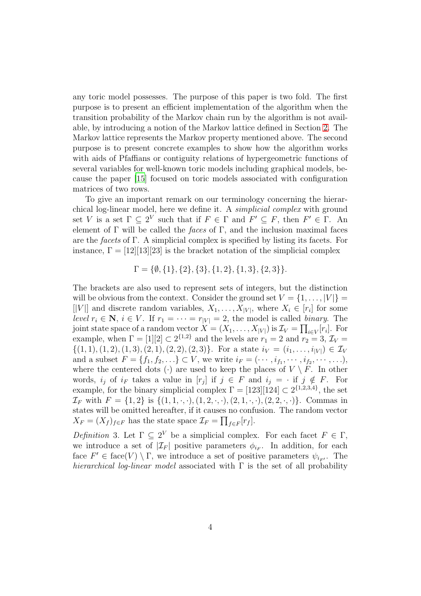any toric model possesses. The purpose of this paper is two fold. The first purpose is to present an efficient implementation of the algorithm when the transition probability of the Markov chain run by the algorithm is not available, by introducing a notion of the Markov lattice defined in Section [2.](#page-5-0) The Markov lattice represents the Markov property mentioned above. The second purpose is to present concrete examples to show how the algorithm works with aids of Pfaffians or contiguity relations of hypergeometric functions of several variables for well-known toric models including graphical models, because the paper [\[15\]](#page-38-3) focused on toric models associated with configuration matrices of two rows.

To give an important remark on our terminology concerning the hierarchical log-linear model, here we define it. A simplicial complex with ground set V is a set  $\Gamma \subseteq 2^V$  such that if  $F \in \Gamma$  and  $F' \subseteq F$ , then  $F' \in \Gamma$ . An element of Γ will be called the *faces* of Γ, and the inclusion maximal faces are the facets of Γ. A simplicial complex is specified by listing its facets. For instance,  $\Gamma = [12][13][23]$  is the bracket notation of the simplicial complex

$$
\Gamma = \{\emptyset, \{1\}, \{2\}, \{3\}, \{1, 2\}, \{1, 3\}, \{2, 3\}\}.
$$

The brackets are also used to represent sets of integers, but the distinction will be obvious from the context. Consider the ground set  $V = \{1, \ldots, |V|\}$ [|V|] and discrete random variables,  $X_1, \ldots, X_{|V|}$ , where  $X_i \in [r_i]$  for some level  $r_i \in \mathbf{N}, i \in V$ . If  $r_1 = \cdots = r_{|V|} = 2$ , the model is called binary. The joint state space of a random vector  $X = (X_1, \ldots, X_{|V|})$  is  $\mathcal{I}_V = \prod_{i \in V} [r_i]$ . For example, when  $\Gamma = [1][2] \subset 2^{\{1,2\}}$  and the levels are  $r_1 = 2$  and  $r_2 = 3$ ,  $\mathcal{I}_V =$  $\{(1, 1), (1, 2), (1, 3), (2, 1), (2, 2), (2, 3)\}.$  For a state  $i_V = (i_1, \ldots, i_{|V|}) \in \mathcal{I}_V$ and a subset  $F = \{f_1, f_2, \ldots\} \subset V$ , we write  $i_F = (\cdots, i_{f_1}, \cdots, i_{f_2}, \cdots, \ldots),$ where the centered dots ( $\cdot$ ) are used to keep the places of  $V \setminus F$ . In other words,  $i_j$  of  $i_F$  takes a value in  $[r_j]$  if  $j \in F$  and  $i_j = \text{if } j \notin F$ . For example, for the binary simplicial complex  $\Gamma = [123][124] \subset 2^{\{1,2,3,4\}}$ , the set  $\mathcal{I}_F$  with  $F = \{1, 2\}$  is  $\{(1, 1, \cdot, \cdot), (1, 2, \cdot, \cdot), (2, 1, \cdot, \cdot), (2, 2, \cdot, \cdot)\}.$  Commas in states will be omitted hereafter, if it causes no confusion. The random vector  $X_F = (X_f)_{f \in F}$  has the state space  $\mathcal{I}_F = \prod_{f \in F} [r_f].$ 

Definition 3. Let  $\Gamma \subseteq 2^V$  be a simplicial complex. For each facet  $F \in \Gamma$ , we introduce a set of  $|\mathcal{I}_F|$  positive parameters  $\phi_{i_F}$ . In addition, for each face  $F' \in \text{face}(V) \setminus \Gamma$ , we introduce a set of positive parameters  $\psi_{i_{F'}}$ . The hierarchical log-linear model associated with  $\Gamma$  is the set of all probability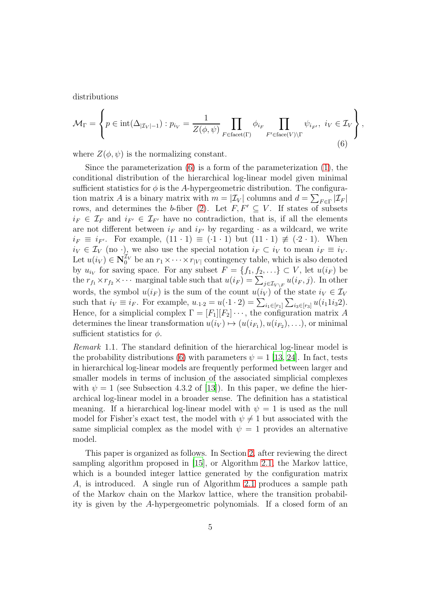distributions

<span id="page-4-0"></span>
$$
\mathcal{M}_{\Gamma} = \left\{ p \in \text{int}(\Delta_{|\mathcal{I}_V|-1}) : p_{i_V} = \frac{1}{Z(\phi, \psi)} \prod_{F \in \text{facet}(\Gamma)} \phi_{i_F} \prod_{F' \in \text{facet}(V) \backslash \Gamma} \psi_{i_{F'}}, \ i_V \in \mathcal{I}_V \right\},\tag{6}
$$

where  $Z(\phi, \psi)$  is the normalizing constant.

Since the parameterization  $(6)$  is a form of the parameterization  $(1)$ , the conditional distribution of the hierarchical log-linear model given minimal sufficient statistics for  $\phi$  is the A-hypergeometric distribution. The configuration matrix A is a binary matrix with  $m = |\mathcal{I}_V|$  columns and  $d = \sum_{F \in \Gamma} |\mathcal{I}_F|$ rows, and determines the b-fiber [\(2\)](#page-1-2). Let  $F, F' \subseteq V$ . If states of subsets  $i_F \in \mathcal{I}_F$  and  $i_{F'} \in \mathcal{I}_{F'}$  have no contradiction, that is, if all the elements are not different between  $i_F$  and  $i_{F'}$  by regarding  $\cdot$  as a wildcard, we write  $i_F \equiv i_{F'}$ . For example,  $(11 \cdot 1) \equiv (0.1 \cdot 1)$  but  $(11 \cdot 1) \not\equiv (0.2 \cdot 1)$ . When  $i_V \in \mathcal{I}_V$  (no ·), we also use the special notation  $i_F \subset i_V$  to mean  $i_F \equiv i_V$ . Let  $u(i_V) \in \mathbb{N}_0^{\mathcal{I}_V}$  be an  $r_1 \times \cdots \times r_{|V|}$  contingency table, which is also denoted by  $u_{i_V}$  for saving space. For any subset  $F = \{f_1, f_2, \ldots\} \subset V$ , let  $u(i_F)$  be the  $r_{f_1} \times r_{f_2} \times \cdots$  marginal table such that  $u(i_F) = \sum_{j \in \mathcal{I}_{V \setminus F}} u(i_F, j)$ . In other words, the symbol  $u(i_F)$  is the sum of the count  $u(i_V)$  of the state  $i_V \in \mathcal{I}_V$ such that  $i_V \equiv i_F$ . For example,  $u_{.1.2} = u(·1 · 2) = \sum_{i_1 \in [r_1]} \sum_{i_3 \in [r_3]} u(i_1 1 i_3 2)$ . Hence, for a simplicial complex  $\Gamma = [F_1][F_2] \cdots$ , the configuration matrix A determines the linear transformation  $u(i_V) \mapsto (u(i_{F_1}), u(i_{F_2}), \ldots)$ , or minimal sufficient statistics for  $\phi$ .

Remark 1.1. The standard definition of the hierarchical log-linear model is the probability distributions [\(6\)](#page-4-0) with parameters  $\psi = 1$  [\[13](#page-38-5), [24](#page-39-1)]. In fact, tests in hierarchical log-linear models are frequently performed between larger and smaller models in terms of inclusion of the associated simplicial complexes with  $\psi = 1$  (see Subsection 4.3.2 of [\[13](#page-38-5)]). In this paper, we define the hierarchical log-linear model in a broader sense. The definition has a statistical meaning. If a hierarchical log-linear model with  $\psi = 1$  is used as the null model for Fisher's exact test, the model with  $\psi \neq 1$  but associated with the same simplicial complex as the model with  $\psi = 1$  provides an alternative model.

This paper is organized as follows. In Section [2,](#page-5-0) after reviewing the direct sampling algorithm proposed in [\[15\]](#page-38-3), or Algorithm [2.1,](#page-7-0) the Markov lattice, which is a bounded integer lattice generated by the configuration matrix A, is introduced. A single run of Algorithm [2.1](#page-7-0) produces a sample path of the Markov chain on the Markov lattice, where the transition probability is given by the A-hypergeometric polynomials. If a closed form of an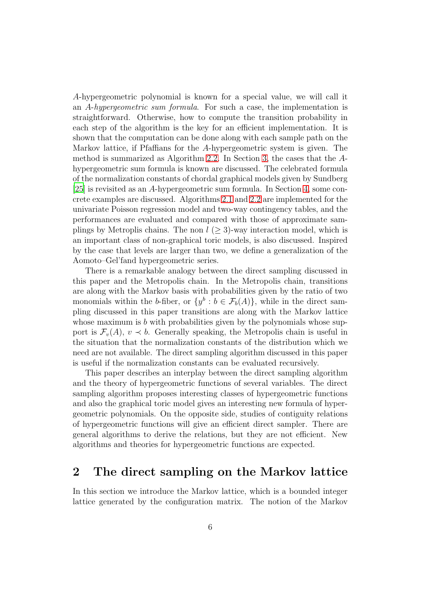A-hypergeometric polynomial is known for a special value, we will call it an A-hypergeometric sum formula. For such a case, the implementation is straightforward. Otherwise, how to compute the transition probability in each step of the algorithm is the key for an efficient implementation. It is shown that the computation can be done along with each sample path on the Markov lattice, if Pfaffians for the A-hypergeometric system is given. The method is summarized as Algorithm [2.2.](#page-11-0) In Section [3,](#page-12-0) the cases that the Ahypergeometric sum formula is known are discussed. The celebrated formula of the normalization constants of chordal graphical models given by Sundberg [\[25\]](#page-39-2) is revisited as an A-hypergeometric sum formula. In Section [4,](#page-26-0) some concrete examples are discussed. Algorithms [2.1](#page-7-0) and [2.2](#page-11-0) are implemented for the univariate Poisson regression model and two-way contingency tables, and the performances are evaluated and compared with those of approximate samplings by Metroplis chains. The non  $l \geq 3$ -way interaction model, which is an important class of non-graphical toric models, is also discussed. Inspired by the case that levels are larger than two, we define a generalization of the Aomoto–Gel'fand hypergeometric series.

There is a remarkable analogy between the direct sampling discussed in this paper and the Metropolis chain. In the Metropolis chain, transitions are along with the Markov basis with probabilities given by the ratio of two monomials within the b-fiber, or  $\{y^b : b \in \mathcal{F}_b(A)\}$ , while in the direct sampling discussed in this paper transitions are along with the Markov lattice whose maximum is  $b$  with probabilities given by the polynomials whose support is  $\mathcal{F}_v(A)$ ,  $v \prec b$ . Generally speaking, the Metropolis chain is useful in the situation that the normalization constants of the distribution which we need are not available. The direct sampling algorithm discussed in this paper is useful if the normalization constants can be evaluated recursively.

This paper describes an interplay between the direct sampling algorithm and the theory of hypergeometric functions of several variables. The direct sampling algorithm proposes interesting classes of hypergeometric functions and also the graphical toric model gives an interesting new formula of hypergeometric polynomials. On the opposite side, studies of contiguity relations of hypergeometric functions will give an efficient direct sampler. There are general algorithms to derive the relations, but they are not efficient. New algorithms and theories for hypergeometric functions are expected.

## <span id="page-5-0"></span>2 The direct sampling on the Markov lattice

In this section we introduce the Markov lattice, which is a bounded integer lattice generated by the configuration matrix. The notion of the Markov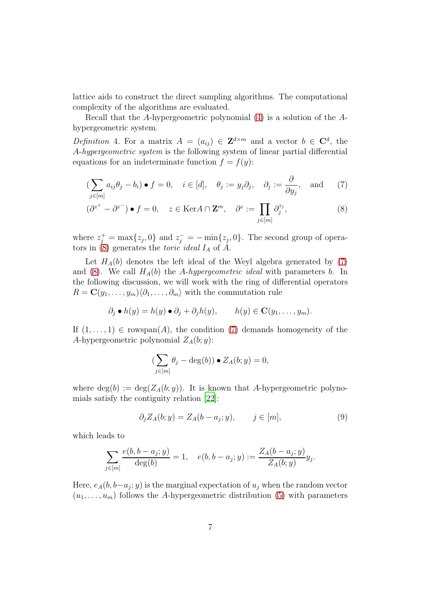lattice aids to construct the direct sampling algorithms. The computational complexity of the algorithms are evaluated.

Recall that the A-hypergeometric polynomial [\(4\)](#page-1-3) is a solution of the Ahypergeometric system.

Definition 4. For a matrix  $A = (a_{ij}) \in \mathbf{Z}^{d \times m}$  and a vector  $b \in \mathbf{C}^d$ , the A-hypergeometric system is the following system of linear partial differential equations for an indeterminate function  $f = f(y)$ :

<span id="page-6-1"></span>
$$
\left(\sum_{j\in[m]} a_{ij}\theta_j - b_i\right) \bullet f = 0, \quad i \in [d], \quad \theta_j := y_j \partial_j, \quad \partial_j := \frac{\partial}{\partial y_j}, \quad \text{and} \quad (7)
$$

$$
(\partial^{z^{+}} - \partial^{z^{-}}) \bullet f = 0, \quad z \in \text{Ker}A \cap \mathbf{Z}^{m}, \quad \partial^{z} := \prod_{j \in [m]} \partial_{j}^{z_{j}},
$$
 (8)

where  $z_j^+$  = max $\{z_j, 0\}$  and  $z_j^-$  =  $-\min\{z_j, 0\}$ . The second group of operators in  $(8)$  generates the *toric ideal*  $I_A$  of  $\overline{A}$ .

Let  $H_A(b)$  denotes the left ideal of the Weyl algebra generated by [\(7\)](#page-6-1) and [\(8\)](#page-6-0). We call  $H_A(b)$  the A-hypergeometric ideal with parameters b. In the following discussion, we will work with the ring of differential operators  $R = \mathbf{C}(y_1, \ldots, y_m)\langle \partial_1, \ldots, \partial_m \rangle$  with the commutation rule

$$
\partial_j \bullet h(y) = h(y) \bullet \partial_j + \partial_j h(y), \qquad h(y) \in \mathbf{C}(y_1, \dots, y_m).
$$

If  $(1, \ldots, 1) \in \text{rowspan}(A)$ , the condition [\(7\)](#page-6-1) demands homogeneity of the A-hypergeometric polynomial  $Z_A(b; y)$ :

<span id="page-6-0"></span>
$$
(\sum_{j\in[m]}\theta_j-\deg(b))\bullet Z_A(b;y)=0,
$$

where  $deg(b) := deg(Z<sub>A</sub>(b; y))$ . It is known that A-hypergeometric polynomials satisfy the contiguity relation [\[22](#page-39-3)]:

<span id="page-6-2"></span>
$$
\partial_j Z_A(b; y) = Z_A(b - a_j; y), \qquad j \in [m], \tag{9}
$$

which leads to

$$
\sum_{j \in [m]} \frac{e(b, b - a_j; y)}{\deg(b)} = 1, \quad e(b, b - a_j; y) := \frac{Z_A(b - a_j; y)}{Z_A(b; y)} y_j.
$$

Here,  $e_A(b, b-a_j; y)$  is the marginal expectation of  $u_j$  when the random vector  $(u_1, \ldots, u_m)$  follows the A-hypergeometric distribution [\(5\)](#page-1-4) with parameters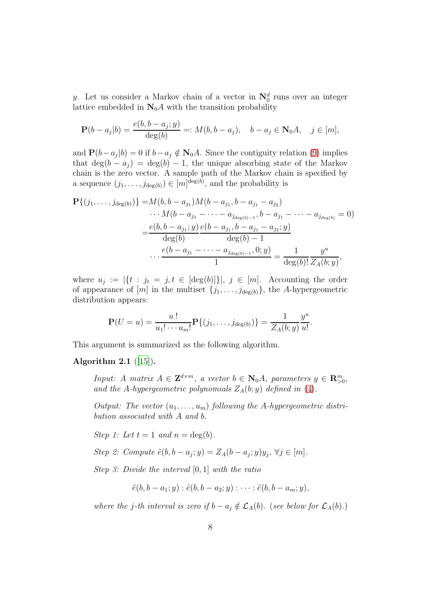y. Let us consider a Markov chain of a vector in  $\mathbb{N}_0^d$  runs over an integer lattice embedded in  $\mathbf{N}_0 A$  with the transition probability

$$
\mathbf{P}(b - a_j | b) = \frac{e(b, b - a_j; y)}{\deg(b)} =: M(b, b - a_j), \quad b - a_j \in \mathbf{N}_0 A, \quad j \in [m],
$$

and  $\mathbf{P}(b-a_j|b) = 0$  if  $b-a_j \notin \mathbf{N}_0 A$ . Since the contiguity relation [\(9\)](#page-6-2) implies that  $\deg(b - a_j) = \deg(b) - 1$ , the unique absorbing state of the Markov chain is the zero vector. A sample path of the Markov chain is specified by a sequence  $(j_1, \ldots, j_{\deg(b)}) \in [m]^{\deg(b)}$ , and the probability is

$$
\mathbf{P}\{(j_1,\ldots,j_{\deg(b)})\} = M(b,b-a_{j_1})M(b-a_{j_1},b-a_{j_1}-a_{j_2})
$$
  
\t
$$
\cdots M(b-a_{j_1}-\cdots-a_{j_{\deg(b)-1}},b-a_{j_1}-\cdots-a_{j_{\deg(b)}}=0)
$$
  
\t
$$
=\frac{e(b,b-a_{j_1};y)}{\deg(b)}\frac{e(b-a_{j_1},b-a_{j_1}-a_{j_2};y)}{\deg(b)-1}
$$
  
\t
$$
\cdots \frac{e(b-a_{j_1}-\cdots-a_{j_{\deg(b)-1}},0;y)}{1} = \frac{1}{\deg(b)!}\frac{y^u}{Z_A(b;y)},
$$

where  $u_j := |\{t : j_t = j, t \in [\deg(b)]\}|, j \in [m]$ . Accounting the order of appearance of [m] in the multiset  $\{j_1, \ldots, j_{\deg(b)}\}$ , the A-hypergeometric distribution appears:

$$
\mathbf{P}(U=u) = \frac{u!}{u_1! \cdots u_m!} \mathbf{P}\{(j_1, \ldots, j_{\deg(b)})\} = \frac{1}{Z_A(b; y)} \frac{y^u}{u!}.
$$

This argument is summarized as the following algorithm.

#### <span id="page-7-0"></span>Algorithm 2.1  $([15])$  $([15])$  $([15])$ .

Input: A matrix  $A \in \mathbf{Z}^{d \times m}$ , a vector  $b \in \mathbf{N}_0 A$ , parameters  $y \in \mathbf{R}_{>0}^m$ , and the A-hypergeometric polynomials  $Z_A(b; y)$  defined in [\(4\)](#page-1-3).

Output: The vector  $(u_1, \ldots, u_m)$  following the A-hypergeometric distribution associated with A and b.

Step 1: Let  $t = 1$  and  $n = \deg(b)$ .

Step 2: Compute  $\tilde{e}(b, b - a_j; y) = Z_A(b - a_j; y)y_j, \forall j \in [m].$ 

Step 3: Divide the interval [0, 1] with the ratio

$$
\tilde{e}(b,b-a_1;y):\tilde{e}(b,b-a_2;y):\cdots:\tilde{e}(b,b-a_m;y),
$$

where the j-th interval is zero if  $b - a_j \notin \mathcal{L}_A(b)$ . (see below for  $\mathcal{L}_A(b)$ .)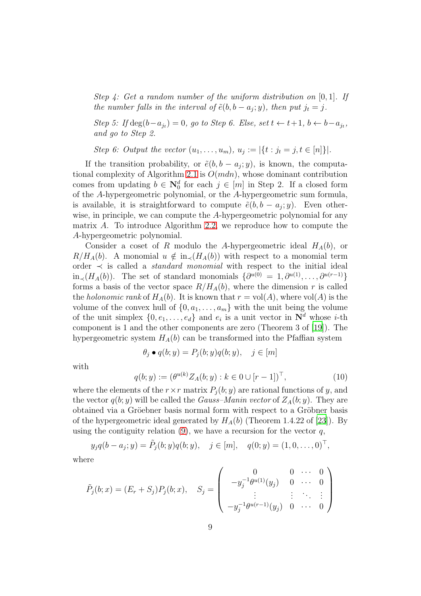Step  $\lambda$ : Get a random number of the uniform distribution on [0, 1]. If the number falls in the interval of  $\tilde{e}(b, b - a_j; y)$ , then put  $j_t = j$ .

Step 5: If  $\deg(b-a_{j_t})=0$ , go to Step 6. Else, set  $t \leftarrow t+1, b \leftarrow b-a_{j_t}$ , and go to Step 2.

Step 6: Output the vector  $(u_1, ..., u_m)$ ,  $u_j := |\{t : j_t = j, t \in [n]\}|$ .

If the transition probability, or  $\tilde{e}(b, b - a_j; y)$ , is known, the computa-tional complexity of Algorithm [2.1](#page-7-0) is  $O(mdn)$ , whose dominant contribution comes from updating  $b \in \mathbb{N}_0^d$  for each  $j \in [m]$  in Step 2. If a closed form of the A-hypergeometric polynomial, or the A-hypergeometric sum formula, is available, it is straightforward to compute  $\tilde{e}(b, b - a_j; y)$ . Even otherwise, in principle, we can compute the A-hypergeometric polynomial for any matrix A. To introduce Algorithm [2.2,](#page-11-0) we reproduce how to compute the A-hypergeometric polynomial.

Consider a coset of R modulo the A-hypergeometric ideal  $H_A(b)$ , or  $R/H_A(b)$ . A monomial  $u \notin in_{\prec}(H_A(b))$  with respect to a monomial term order  $\prec$  is called a *standard monomial* with respect to the initial ideal in<sub>≺</sub>(H<sub>A</sub>(b)). The set of standard monomials  $\{\partial^{u(0)} = 1, \partial^{u(1)}, \dots, \partial^{u(r-1)}\}$ forms a basis of the vector space  $R/H_A(b)$ , where the dimension r is called the *holonomic rank* of  $H_A(b)$ . It is known that  $r = vol(A)$ , where  $vol(A)$  is the volume of the convex hull of  $\{0, a_1, \ldots, a_m\}$  with the unit being the volume of the unit simplex  $\{0, e_1, \ldots, e_d\}$  and  $e_i$  is a unit vector in  $\mathbb{N}^d$  whose *i*-th component is 1 and the other components are zero (Theorem 3 of [\[19](#page-39-4)]). The hypergeometric system  $H_A(b)$  can be transformed into the Pfaffian system

$$
\theta_j \bullet q(b; y) = P_j(b; y)q(b; y), \quad j \in [m]
$$

with

<span id="page-8-0"></span>
$$
q(b; y) := (\theta^{u(k)} Z_A(b; y) : k \in 0 \cup [r-1])^{\top},
$$
\n(10)

where the elements of the  $r \times r$  matrix  $P_i(b; y)$  are rational functions of y, and the vector  $q(b; y)$  will be called the *Gauss–Manin vector* of  $Z_A(b; y)$ . They are obtained via a Gröebner basis normal form with respect to a Gröbner basis of the hypergeometric ideal generated by  $H_A(b)$  (Theorem 1.4.22 of [\[23\]](#page-39-5)). By using the contiguity relation  $(9)$ , we have a recursion for the vector q,

$$
y_j q(b - a_j; y) = \tilde{P}_j(b; y) q(b; y), \quad j \in [m], \quad q(0; y) = (1, 0, \dots, 0)^{\top},
$$

where

$$
\tilde{P}_j(b;x) = (E_r + S_j)P_j(b;x), \quad S_j = \begin{pmatrix} 0 & 0 & \cdots & 0 \\ -y_j^{-1}\theta^{u(1)}(y_j) & 0 & \cdots & 0 \\ \vdots & \vdots & \ddots & \vdots \\ -y_j^{-1}\theta^{u(r-1)}(y_j) & 0 & \cdots & 0 \end{pmatrix}
$$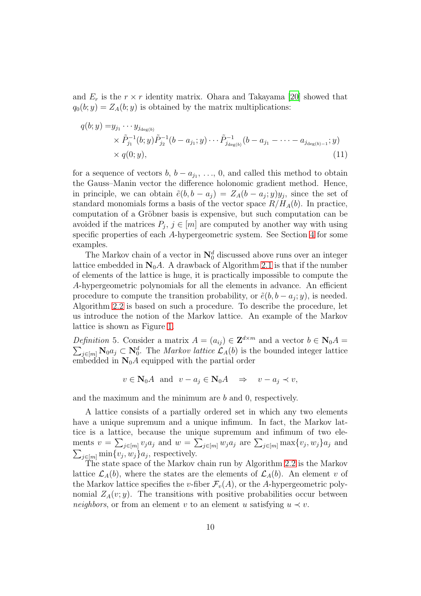and  $E_r$  is the  $r \times r$  identity matrix. Ohara and Takayama [\[20](#page-39-6)] showed that  $q_0(b; y) = Z_A(b; y)$  is obtained by the matrix multiplications:

<span id="page-9-0"></span>
$$
q(b; y) = y_{j_1} \cdots y_{j_{\deg(b)}}
$$
  
\n
$$
\times \tilde{P}_{j_1}^{-1}(b; y) \tilde{P}_{j_2}^{-1}(b - a_{j_1}; y) \cdots \tilde{P}_{j_{\deg(b)}}^{-1}(b - a_{j_1} - \cdots - a_{j_{\deg(b)-1}}; y)
$$
  
\n
$$
\times q(0; y),
$$
\n(11)

for a sequence of vectors  $b, b - a_{j_1}, \ldots, 0$ , and called this method to obtain the Gauss–Manin vector the difference holonomic gradient method. Hence, in principle, we can obtain  $\tilde{e}(b, b - a_j) = Z_A(b - a_j; y)y_j$ , since the set of standard monomials forms a basis of the vector space  $R/H_A(b)$ . In practice, computation of a Gröbner basis is expensive, but such computation can be avoided if the matrices  $P_j$ ,  $j \in [m]$  are computed by another way with using specific properties of each A-hypergeometric system. See Section [4](#page-26-0) for some examples.

The Markov chain of a vector in  $\mathbb{N}_0^d$  discussed above runs over an integer lattice embedded in  $\mathbb{N}_0 A$ . A drawback of Algorithm [2.1](#page-7-0) is that if the number of elements of the lattice is huge, it is practically impossible to compute the A-hypergeometric polynomials for all the elements in advance. An efficient procedure to compute the transition probability, or  $\tilde{e}(b, b - a_j; y)$ , is needed. Algorithm [2.2](#page-11-0) is based on such a procedure. To describe the procedure, let us introduce the notion of the Markov lattice. An example of the Markov lattice is shown as Figure [1.](#page-10-0)

Definition 5. Consider a matrix  $A = (a_{ij}) \in \mathbf{Z}^{d \times m}$  and a vector  $b \in \mathbf{N}_0 A =$  $\sum_{j\in[m]} \mathbf{N}_0 a_j \subset \mathbf{N}_0^d$ . The *Markov lattice*  $\mathcal{L}_A(b)$  is the bounded integer lattice embedded in  $\mathbb{N}_0 A$  equipped with the partial order

$$
v \in \mathbf{N}_0 A
$$
 and  $v - a_j \in \mathbf{N}_0 A \Rightarrow v - a_j \prec v$ ,

and the maximum and the minimum are  $b$  and  $0$ , respectively.

A lattice consists of a partially ordered set in which any two elements have a unique supremum and a unique infimum. In fact, the Markov lattice is a lattice, because the unique supremum and infimum of two elements  $v = \sum_{j \in [m]} v_j a_j$  and  $w = \sum_{j \in [m]} w_j a_j$  are  $\sum_{j \in [m]} \max\{v_j, w_j\} a_j$  and  $\sum_{j \in [m]} \min\{v_j, w_j\} a_j$ , respectively.

The state space of the Markov chain run by Algorithm [2.2](#page-11-0) is the Markov lattice  $\mathcal{L}_A(b)$ , where the states are the elements of  $\mathcal{L}_A(b)$ . An element v of the Markov lattice specifies the v-fiber  $\mathcal{F}_v(A)$ , or the A-hypergeometric polynomial  $Z_A(v; y)$ . The transitions with positive probabilities occur between neighbors, or from an element v to an element u satisfying  $u \prec v$ .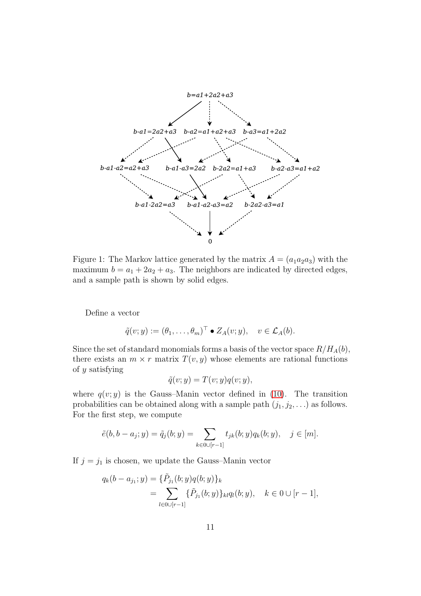

<span id="page-10-0"></span>Figure 1: The Markov lattice generated by the matrix  $A = (a_1 a_2 a_3)$  with the maximum  $b = a_1 + 2a_2 + a_3$ . The neighbors are indicated by directed edges, and a sample path is shown by solid edges.

Define a vector

$$
\tilde{q}(v;y) := (\theta_1,\ldots,\theta_m)^\top \bullet Z_A(v;y), \quad v \in \mathcal{L}_A(b).
$$

Since the set of standard monomials forms a basis of the vector space  $R/H_A(b)$ , there exists an  $m \times r$  matrix  $T(v, y)$  whose elements are rational functions of  $y$  satisfying

$$
\tilde{q}(v; y) = T(v; y)q(v; y),
$$

where  $q(v; y)$  is the Gauss–Manin vector defined in [\(10\)](#page-8-0). The transition probabilities can be obtained along with a sample path  $(j_1, j_2, \ldots)$  as follows. For the first step, we compute

$$
\tilde{e}(b, b - a_j; y) = \tilde{q}_j(b; y) = \sum_{k \in \mathbb{O} \cup [r-1]} t_{jk}(b; y) q_k(b; y), \quad j \in [m].
$$

If  $j = j_1$  is chosen, we update the Gauss–Manin vector

$$
q_k(b-a_{j_1}; y) = {\tilde{P}_{j_1}(b; y)q(b; y)}_k
$$
  
= 
$$
\sum_{l \in 0 \cup [r-1]} {\tilde{P}_{j_1}(b; y)}_{kl} q_l(b; y), \quad k \in 0 \cup [r-1],
$$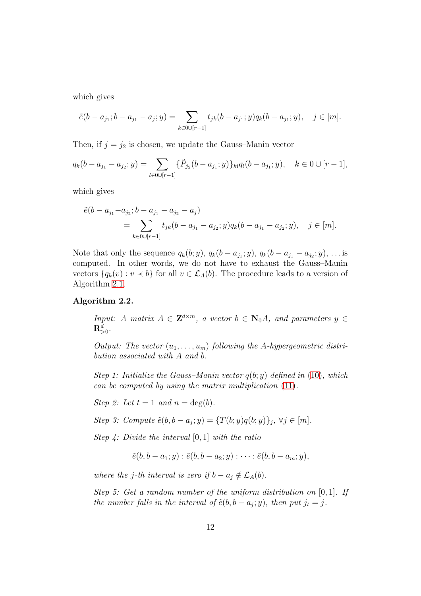which gives

$$
\tilde{e}(b-a_{j_1}; b-a_{j_1}-a_j; y) = \sum_{k \in \mathbb{O} \cup [r-1]} t_{jk}(b-a_{j_1}; y) q_k(b-a_{j_1}; y), \quad j \in [m].
$$

Then, if  $j = j_2$  is chosen, we update the Gauss–Manin vector

$$
q_k(b-a_{j_1}-a_{j_2};y)=\sum_{l\in\mathbf{0}\cup[r-1]}\{\tilde{P}_{j_2}(b-a_{j_1};y)\}_{kl}q_l(b-a_{j_1};y),\quad k\in\mathbf{0}\cup[r-1],
$$

which gives

$$
\tilde{e}(b - a_{j_1} - a_{j_2}; b - a_{j_1} - a_{j_2} - a_j) \n= \sum_{k \in \mathbb{O} \cup [r-1]} t_{jk}(b - a_{j_1} - a_{j_2}; y) q_k(b - a_{j_1} - a_{j_2}; y), \quad j \in [m].
$$

Note that only the sequence  $q_k(b; y)$ ,  $q_k(b - a_{j_1}; y)$ ,  $q_k(b - a_{j_1} - a_{j_2}; y)$ , ... is computed. In other words, we do not have to exhaust the Gauss–Manin vectors  $\{q_k(v): v \prec b\}$  for all  $v \in \mathcal{L}_A(b)$ . The procedure leads to a version of Algorithm [2.1.](#page-7-0)

#### <span id="page-11-0"></span>Algorithm 2.2.

*Input:* A matrix  $A \in \mathbf{Z}^{d \times m}$ , a vector  $b \in \mathbf{N}_0 A$ , and parameters  $y \in$  $\mathbf{R}^d_{>0}.$ 

Output: The vector  $(u_1, \ldots, u_m)$  following the A-hypergeometric distribution associated with A and b.

Step 1: Initialize the Gauss–Manin vector  $q(b; y)$  defined in [\(10\)](#page-8-0), which can be computed by using the matrix multiplication [\(11\)](#page-9-0).

Step 2: Let  $t = 1$  and  $n = \deg(b)$ .

Step 3: Compute  $\tilde{e}(b, b - a_j; y) = \{T(b; y)q(b; y)\}_j, \forall j \in [m].$ 

Step 4: Divide the interval  $[0, 1]$  with the ratio

$$
\tilde{e}(b,b-a_1;y):\tilde{e}(b,b-a_2;y):\cdots:\tilde{e}(b,b-a_m;y),
$$

where the j-th interval is zero if  $b - a_i \notin \mathcal{L}_A(b)$ .

Step 5: Get a random number of the uniform distribution on [0, 1]. If the number falls in the interval of  $\tilde{e}(b, b - a_j; y)$ , then put  $j_t = j$ .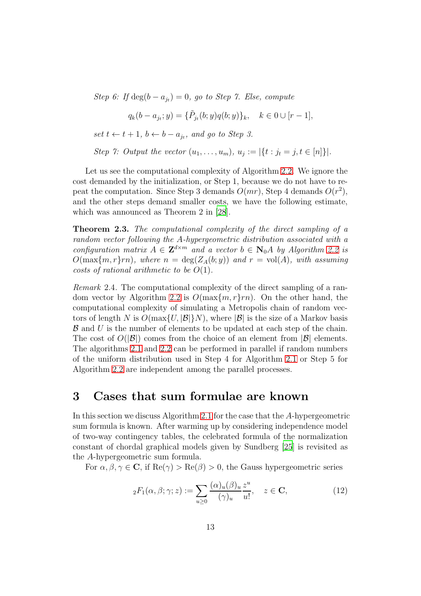Step 6: If  $\deg(b - a_{jt}) = 0$ , go to Step 7. Else, compute

$$
q_k(b - a_{j_t}; y) = {\tilde{P}_{j_t}(b; y)q(b; y)}_k, \quad k \in \{0 \cup [r-1],
$$

set  $t \leftarrow t + 1$ ,  $b \leftarrow b - a_{j_t}$ , and go to Step 3.

Step 7: Output the vector 
$$
(u_1, \ldots, u_m), u_j := |\{t : j_t = j, t \in [n]\}|
$$
.

Let us see the computational complexity of Algorithm [2.2.](#page-11-0) We ignore the cost demanded by the initialization, or Step 1, because we do not have to repeat the computation. Since Step 3 demands  $O(mr)$ , Step 4 demands  $O(r^2)$ , and the other steps demand smaller costs, we have the following estimate, which was announced as Theorem 2 in [\[28\]](#page-39-7).

<span id="page-12-1"></span>Theorem 2.3. The computational complexity of the direct sampling of a random vector following the A-hypergeometric distribution associated with a configuration matrix  $A \in \mathbf{Z}^{d \times m}$  and a vector  $b \in \mathbf{N}_0 A$  by Algorithm [2.2](#page-11-0) is  $O(\max\{m, r\}rn)$ , where  $n = \deg(Z_A(b; y))$  and  $r = \text{vol}(A)$ , with assuming costs of rational arithmetic to be  $O(1)$ .

Remark 2.4. The computational complexity of the direct sampling of a ran-dom vector by Algorithm [2.2](#page-11-0) is  $O(\max\{m, r\}rn)$ . On the other hand, the computational complexity of simulating a Metropolis chain of random vectors of length N is  $O(\max\{U, |\mathcal{B}|\}N)$ , where  $|\mathcal{B}|$  is the size of a Markov basis  $\beta$  and U is the number of elements to be updated at each step of the chain. The cost of  $O(|\mathcal{B}|)$  comes from the choice of an element from  $|\mathcal{B}|$  elements. The algorithms [2.1](#page-7-0) and [2.2](#page-11-0) can be performed in parallel if random numbers of the uniform distribution used in Step 4 for Algorithm [2.1](#page-7-0) or Step 5 for Algorithm [2.2](#page-11-0) are independent among the parallel processes.

### <span id="page-12-0"></span>3 Cases that sum formulae are known

In this section we discuss Algorithm [2.1](#page-7-0) for the case that the A-hypergeometric sum formula is known. After warming up by considering independence model of two-way contingency tables, the celebrated formula of the normalization constant of chordal graphical models given by Sundberg [\[25](#page-39-2)] is revisited as the A-hypergeometric sum formula.

For  $\alpha, \beta, \gamma \in \mathbb{C}$ , if  $\text{Re}(\gamma) > \text{Re}(\beta) > 0$ , the Gauss hypergeometric series

<span id="page-12-2"></span>
$$
{}_2F_1(\alpha,\beta;\gamma;z) := \sum_{u\geq 0} \frac{(\alpha)_u(\beta)_u}{(\gamma)_u} \frac{z^u}{u!}, \quad z \in \mathbf{C}, \tag{12}
$$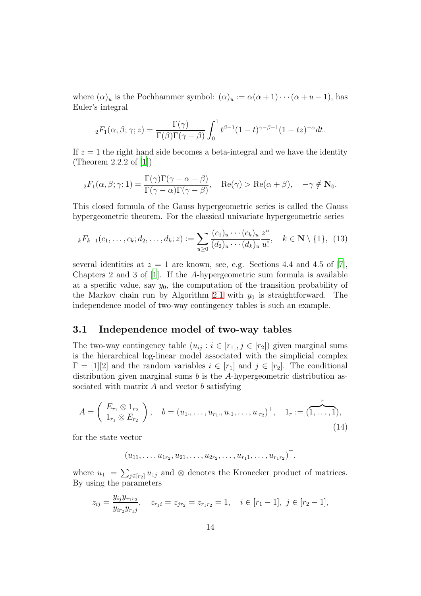where  $(\alpha)_u$  is the Pochhammer symbol:  $(\alpha)_u := \alpha(\alpha+1)\cdots(\alpha+u-1)$ , has Euler's integral

$$
{}_2F_1(\alpha,\beta;\gamma;z) = \frac{\Gamma(\gamma)}{\Gamma(\beta)\Gamma(\gamma-\beta)} \int_0^1 t^{\beta-1} (1-t)^{\gamma-\beta-1} (1-tz)^{-\alpha} dt.
$$

If  $z = 1$  the right hand side becomes a beta-integral and we have the identity (Theorem 2.2.2 of [\[1](#page-37-2)])

$$
{}_2F_1(\alpha,\beta;\gamma;1) = \frac{\Gamma(\gamma)\Gamma(\gamma-\alpha-\beta)}{\Gamma(\gamma-\alpha)\Gamma(\gamma-\beta)}, \quad \text{Re}(\gamma) > \text{Re}(\alpha+\beta), \quad -\gamma \notin \mathbf{N}_0.
$$

This closed formula of the Gauss hypergeometric series is called the Gauss hypergeometric theorem. For the classical univariate hypergeometric series

<span id="page-13-2"></span>
$$
{}_{k}F_{k-1}(c_1,\ldots,c_k;d_2,\ldots,d_k;z) := \sum_{u\geq 0} \frac{(c_1)_u \cdots (c_k)_u}{(d_2)_u \cdots (d_k)_u} \frac{z^u}{u!}, \quad k \in \mathbb{N} \setminus \{1\}, \tag{13}
$$

several identities at  $z = 1$  are known, see, e.g. Sections 4.4 and 4.5 of [\[7\]](#page-38-6), Chapters 2 and 3 of  $[1]$ . If the A-hypergeometric sum formula is available at a specific value, say  $y_0$ , the computation of the transition probability of the Markov chain run by Algorithm [2.1](#page-7-0) with  $y_0$  is straightforward. The independence model of two-way contingency tables is such an example.

### <span id="page-13-0"></span>3.1 Independence model of two-way tables

The two-way contingency table  $(u_{ij}: i \in [r_1], j \in [r_2])$  given marginal sums is the hierarchical log-linear model associated with the simplicial complex  $\Gamma = [1][2]$  and the random variables  $i \in [r_1]$  and  $j \in [r_2]$ . The conditional distribution given marginal sums b is the A-hypergeometric distribution associated with matrix  $A$  and vector  $b$  satisfying

<span id="page-13-1"></span>
$$
A = \begin{pmatrix} E_{r_1} \otimes 1_{r_2} \\ 1_{r_1} \otimes E_{r_2} \end{pmatrix}, \quad b = (u_1, \dots, u_{r_1}, u_{\cdot 1}, \dots, u_{\cdot r_2})^\top, \quad 1_r := (\overbrace{1, \dots, 1}^r),
$$
\n(14)

for the state vector

$$
(u_{11},\ldots,u_{1r_2},u_{21},\ldots,u_{2r_2},\ldots,u_{r_11},\ldots,u_{r_1r_2})^{\top},
$$

where  $u_1 = \sum_{j \in [r_2]} u_{1j}$  and  $\otimes$  denotes the Kronecker product of matrices. By using the parameters

$$
z_{ij} = \frac{y_{ij}y_{r_1r_2}}{y_{ir_2}y_{r_1j}}, \quad z_{r_1i} = z_{jr_2} = z_{r_1r_2} = 1, \quad i \in [r_1 - 1], \ j \in [r_2 - 1],
$$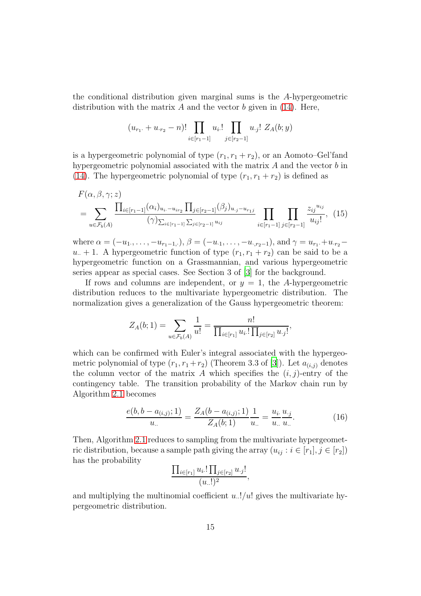the conditional distribution given marginal sums is the A-hypergeometric distribution with the matrix  $A$  and the vector  $b$  given in [\(14\)](#page-13-1). Here,

<span id="page-14-1"></span>
$$
(u_{r_1} + u_{r_2} - n)! \prod_{i \in [r_1 - 1]} u_i! \prod_{j \in [r_2 - 1]} u_{\cdot j}! Z_A(b; y)
$$

is a hypergeometric polynomial of type  $(r_1, r_1 + r_2)$ , or an Aomoto–Gel'fand hypergeometric polynomial associated with the matrix A and the vector b in [\(14\)](#page-13-1). The hypergeometric polynomial of type  $(r_1, r_1 + r_2)$  is defined as

$$
F(\alpha, \beta, \gamma; z)
$$
  
= 
$$
\sum_{u \in \mathcal{F}_b(A)} \frac{\prod_{i \in [r_1-1]} (\alpha_i)_{u_i, -u_{ir_2}} \prod_{j \in [r_2-1]} (\beta_j)_{u, j} - u_{r_1 j}}{(\gamma)_{\sum_{i \in [r_1-1]} \sum_{j \in [r_2-1]} u_{ij}}} \prod_{i \in [r_1-1]} \prod_{j \in [r_2-1]} \frac{z_{ij}^{u_{ij}}}{u_{ij}!},
$$
 (15)

where  $\alpha = (-u_1, \ldots, -u_{r_1-1,\cdot}), \beta = (-u_1, \ldots, -u_{r_2-1}),$  and  $\gamma = u_{r_1} + u_{r_2}$  $u_{-}+1$ . A hypergeometric function of type  $(r_1, r_1 + r_2)$  can be said to be a hypergeometric function on a Grassmannian, and various hypergeometric series appear as special cases. See Section 3 of [\[3](#page-37-3)] for the background.

If rows and columns are independent, or  $y = 1$ , the A-hypergeometric distribution reduces to the multivariate hypergeometric distribution. The normalization gives a generalization of the Gauss hypergeometric theorem:

$$
Z_A(b;1) = \sum_{u \in \mathcal{F}_b(A)} \frac{1}{u!} = \frac{n!}{\prod_{i \in [r_1]} u_i! \prod_{j \in [r_2]} u_{\cdot j}!},
$$

which can be confirmed with Euler's integral associated with the hypergeometric polynomial of type  $(r_1, r_1 + r_2)$  (Theorem 3.3 of [\[3\]](#page-37-3)). Let  $a_{(i,j)}$  denotes the column vector of the matrix A which specifies the  $(i, j)$ -entry of the contingency table. The transition probability of the Markov chain run by Algorithm [2.1](#page-7-0) becomes

<span id="page-14-0"></span>
$$
\frac{e(b, b - a_{(i,j)}; 1)}{u_{\cdots}} = \frac{Z_A(b - a_{(i,j)}; 1)}{Z_A(b; 1)} \frac{1}{u_{\cdots}} = \frac{u_i}{u_{\cdots}} \frac{u_{\cdot j}}{u_{\cdots}}.
$$
(16)

Then, Algorithm [2.1](#page-7-0) reduces to sampling from the multivariate hypergeometric distribution, because a sample path giving the array  $(u_{ij} : i \in [r_1], j \in [r_2])$ has the probability

$$
\frac{\prod_{i\in[r_1]} u_i! \prod_{j\in[r_2]} u_j!}{(u_{\cdot\cdot}!)^2},
$$

and multiplying the multinomial coefficient  $u$ ..!/ $u$ ! gives the multivariate hypergeometric distribution.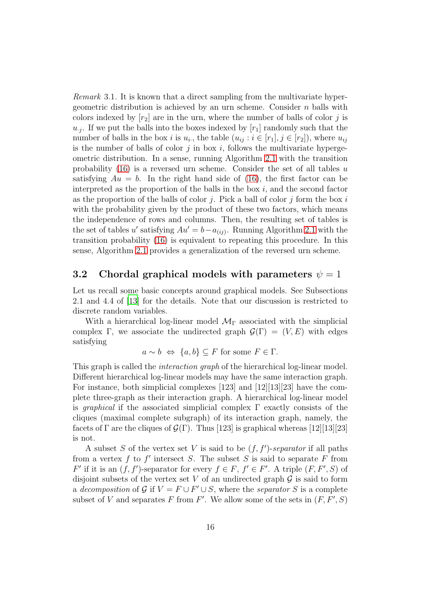<span id="page-15-1"></span>Remark 3.1. It is known that a direct sampling from the multivariate hypergeometric distribution is achieved by an urn scheme. Consider  $n$  balls with colors indexed by  $[r_2]$  are in the urn, where the number of balls of color j is  $u_{.j}$ . If we put the balls into the boxes indexed by  $[r_1]$  randomly such that the number of balls in the box *i* is  $u_i$ , the table  $(u_{ij} : i \in [r_1], j \in [r_2]$ , where  $u_{ij}$ is the number of balls of color  $j$  in box  $i$ , follows the multivariate hypergeometric distribution. In a sense, running Algorithm [2.1](#page-7-0) with the transition probability  $(16)$  is a reversed urn scheme. Consider the set of all tables u satisfying  $Au = b$ . In the right hand side of [\(16\)](#page-14-0), the first factor can be interpreted as the proportion of the balls in the box  $i$ , and the second factor as the proportion of the balls of color  $j$ . Pick a ball of color  $j$  form the box  $i$ with the probability given by the product of these two factors, which means the independence of rows and columns. Then, the resulting set of tables is the set of tables u' satisfying  $Au' = b - a_{(ij)}$ . Running Algorithm [2.1](#page-7-0) with the transition probability [\(16\)](#page-14-0) is equivalent to repeating this procedure. In this sense, Algorithm [2.1](#page-7-0) provides a generalization of the reversed urn scheme.

### <span id="page-15-0"></span>3.2 Chordal graphical models with parameters  $\psi = 1$

Let us recall some basic concepts around graphical models. See Subsections 2.1 and 4.4 of [\[13](#page-38-5)] for the details. Note that our discussion is restricted to discrete random variables.

With a hierarchical log-linear model  $\mathcal{M}_{\Gamma}$  associated with the simplicial complex Γ, we associate the undirected graph  $\mathcal{G}(\Gamma) = (V, E)$  with edges satisfying

 $a \sim b \Leftrightarrow \{a, b\} \subseteq F$  for some  $F \in \Gamma$ .

This graph is called the *interaction graph* of the hierarchical log-linear model. Different hierarchical log-linear models may have the same interaction graph. For instance, both simplicial complexes [123] and [12][13][23] have the complete three-graph as their interaction graph. A hierarchical log-linear model is *graphical* if the associated simplicial complex  $\Gamma$  exactly consists of the cliques (maximal complete subgraph) of its interaction graph, namely, the facets of  $\Gamma$  are the cliques of  $\mathcal{G}(\Gamma)$ . Thus [123] is graphical whereas [12][13][23] is not.

A subset S of the vertex set V is said to be  $(f, f')$ -separator if all paths from a vertex f to  $f'$  intersect S. The subset S is said to separate F from  $F'$  if it is an  $(f, f')$ -separator for every  $f \in F$ ,  $f' \in F'$ . A triple  $(F, F', S)$  of disjoint subsets of the vertex set V of an undirected graph  $\mathcal G$  is said to form a decomposition of G if  $V = F \cup F' \cup S$ , where the separator S is a complete subset of V and separates F from F'. We allow some of the sets in  $(F, F', S)$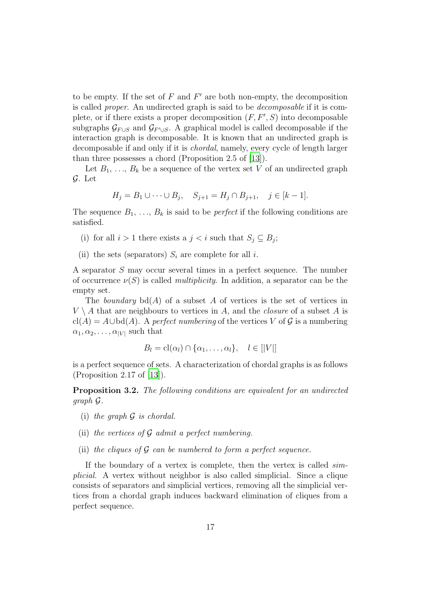to be empty. If the set of  $F$  and  $F'$  are both non-empty, the decomposition is called proper. An undirected graph is said to be decomposable if it is complete, or if there exists a proper decomposition  $(F, F', S)$  into decomposable subgraphs  $\mathcal{G}_{F \cup S}$  and  $\mathcal{G}_{F' \cup S}$ . A graphical model is called decomposable if the interaction graph is decomposable. It is known that an undirected graph is decomposable if and only if it is chordal, namely, every cycle of length larger than three possesses a chord (Proposition 2.5 of [\[13\]](#page-38-5)).

Let  $B_1, \ldots, B_k$  be a sequence of the vertex set V of an undirected graph G. Let

$$
H_j = B_1 \cup \dots \cup B_j, \quad S_{j+1} = H_j \cap B_{j+1}, \quad j \in [k-1].
$$

The sequence  $B_1, \ldots, B_k$  is said to be *perfect* if the following conditions are satisfied.

- (i) for all  $i > 1$  there exists a  $j < i$  such that  $S_j \subseteq B_j$ ;
- (ii) the sets (separators)  $S_i$  are complete for all i.

A separator S may occur several times in a perfect sequence. The number of occurrence  $\nu(S)$  is called *multiplicity*. In addition, a separator can be the empty set.

The boundary  $\text{bd}(A)$  of a subset A of vertices is the set of vertices in  $V \setminus A$  that are neighbours to vertices in A, and the *closure* of a subset A is cl(A) =  $A \cup bd(A)$ . A perfect numbering of the vertices V of G is a numbering  $\alpha_1, \alpha_2, \ldots, \alpha_{|V|}$  such that

$$
B_l = \mathrm{cl}(\alpha_l) \cap \{\alpha_1, \ldots, \alpha_l\}, \quad l \in [|V|]
$$

is a perfect sequence of sets. A characterization of chordal graphs is as follows (Proposition 2.17 of [\[13](#page-38-5)]).

Proposition 3.2. The following conditions are equivalent for an undirected graph G.

- (i) the graph  $G$  is chordal.
- (ii) the vertices of  $\mathcal G$  admit a perfect numbering.
- (ii) the cliques of  $G$  can be numbered to form a perfect sequence.

If the boundary of a vertex is complete, then the vertex is called simplicial. A vertex without neighbor is also called simplicial. Since a clique consists of separators and simplicial vertices, removing all the simplicial vertices from a chordal graph induces backward elimination of cliques from a perfect sequence.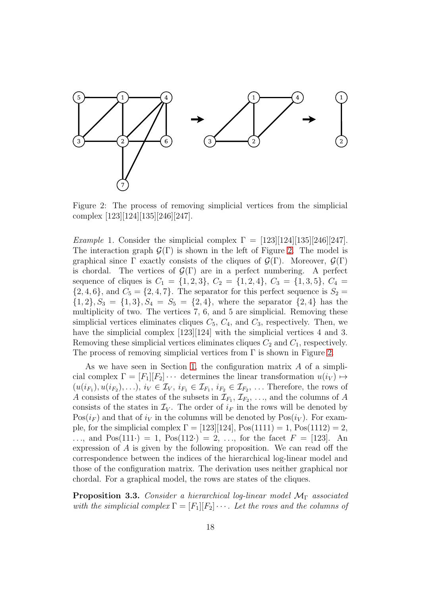

<span id="page-17-0"></span>Figure 2: The process of removing simplicial vertices from the simplicial complex [123][124][135][246][247].

Example 1. Consider the simplicial complex  $\Gamma = [123][124][135][246][247]$ . The interaction graph  $\mathcal{G}(\Gamma)$  is shown in the left of Figure [2.](#page-17-0) The model is graphical since Γ exactly consists of the cliques of  $\mathcal{G}(\Gamma)$ . Moreover,  $\mathcal{G}(\Gamma)$ is chordal. The vertices of  $\mathcal{G}(\Gamma)$  are in a perfect numbering. A perfect sequence of cliques is  $C_1 = \{1, 2, 3\}, C_2 = \{1, 2, 4\}, C_3 = \{1, 3, 5\}, C_4 =$  $\{2, 4, 6\}$ , and  $C_5 = \{2, 4, 7\}$ . The separator for this perfect sequence is  $S_2 =$  $\{1, 2\}, S_3 = \{1, 3\}, S_4 = S_5 = \{2, 4\},$  where the separator  $\{2, 4\}$  has the multiplicity of two. The vertices 7, 6, and 5 are simplicial. Removing these simplicial vertices eliminates cliques  $C_5$ ,  $C_4$ , and  $C_3$ , respectively. Then, we have the simplicial complex [123][124] with the simplicial vertices 4 and 3. Removing these simplicial vertices eliminates cliques  $C_2$  and  $C_1$ , respectively. The process of removing simplicial vertices from  $\Gamma$  is shown in Figure [2.](#page-17-0)

As we have seen in Section [1,](#page-0-1) the configuration matrix  $A$  of a simplicial complex  $\Gamma = [F_1][F_2] \cdots$  determines the linear transformation  $u(i_V) \mapsto$  $(u(i_{F_1}), u(i_{F_2}), \ldots), i_V \in \mathcal{I}_V, i_{F_1} \in \mathcal{I}_{F_1}, i_{F_2} \in \mathcal{I}_{F_2}, \ldots$  Therefore, the rows of A consists of the states of the subsets in  $\mathcal{I}_{F_1}, \mathcal{I}_{F_2}, \ldots$ , and the columns of A consists of the states in  $\mathcal{I}_V$ . The order of  $i_F$  in the rows will be denoted by  $Pos(i_F)$  and that of  $i_V$  in the columns will be denoted by  $Pos(i_V)$ . For example, for the simplicial complex  $\Gamma = [123][124]$ ,  $Pos(1111) = 1$ ,  $Pos(1112) = 2$ , ..., and  $Pos(111.) = 1$ ,  $Pos(112.) = 2$ , ..., for the facet  $F = [123]$ . An expression of A is given by the following proposition. We can read off the correspondence between the indices of the hierarchical log-linear model and those of the configuration matrix. The derivation uses neither graphical nor chordal. For a graphical model, the rows are states of the cliques.

**Proposition 3.3.** Consider a hierarchical log-linear model  $M_{\Gamma}$  associated with the simplicial complex  $\Gamma = [F_1][F_2] \cdots$ . Let the rows and the columns of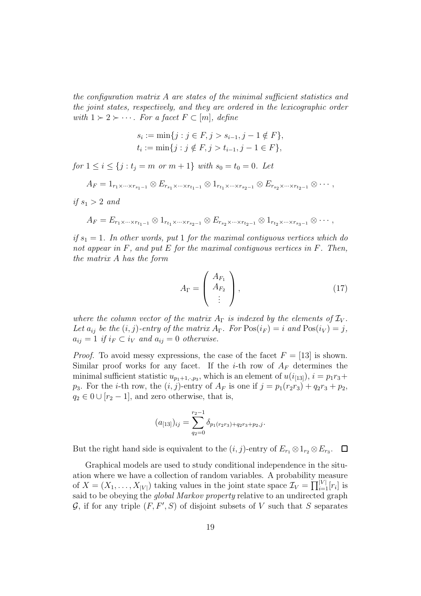the configuration matrix A are states of the minimal sufficient statistics and the joint states, respectively, and they are ordered in the lexicographic order with  $1 \succ 2 \succ \cdots$ . For a facet  $F \subset [m]$ , define

$$
s_i := \min\{j : j \in F, j > s_{i-1}, j-1 \notin F\},\
$$
  

$$
t_i := \min\{j : j \notin F, j > t_{i-1}, j-1 \in F\},\
$$

for  $1 \leq i \leq \{j : t_j = m \text{ or } m + 1\}$  with  $s_0 = t_0 = 0$ . Let

$$
A_F = 1_{r_1 \times \cdots \times r_{s_1-1}} \otimes E_{r_{s_1} \times \cdots \times r_{t_1-1}} \otimes 1_{r_{t_1} \times \cdots \times r_{s_2-1}} \otimes E_{r_{s_2} \times \cdots \times r_{t_2-1}} \otimes \cdots,
$$

if  $s_1 > 2$  and

$$
A_F = E_{r_1 \times \cdots \times r_{t_1-1}} \otimes 1_{r_{t_1} \times \cdots \times r_{s_2-1}} \otimes E_{r_{s_2} \times \cdots \times r_{t_2-1}} \otimes 1_{r_{t_2} \times \cdots \times r_{s_3-1}} \otimes \cdots,
$$

if  $s_1 = 1$ . In other words, put 1 for the maximal contiguous vertices which do not appear in  $F$ , and put  $E$  for the maximal contiguous vertices in  $F$ . Then, the matrix A has the form

<span id="page-18-0"></span>
$$
A_{\Gamma} = \left(\begin{array}{c} A_{F_1} \\ A_{F_2} \\ \vdots \end{array}\right), \tag{17}
$$

where the column vector of the matrix  $A_{\Gamma}$  is indexed by the elements of  $\mathcal{I}_{V}$ . Let  $a_{ij}$  be the  $(i, j)$ -entry of the matrix  $A_{\Gamma}$ . For  $Pos(i_{F}) = i$  and  $Pos(i_{V}) = j$ ,  $a_{ij} = 1$  if  $i_F \subset i_V$  and  $a_{ij} = 0$  otherwise.

*Proof.* To avoid messy expressions, the case of the facet  $F = [13]$  is shown. Similar proof works for any facet. If the *i*-th row of  $A_F$  determines the minimal sufficient statistic  $u_{p_1+1,\cdot,p_3}$ , which is an element of  $u(i_{[13]})$ ,  $i = p_1r_3 +$  $p_3$ . For the *i*-th row, the  $(i, j)$ -entry of  $A_F$  is one if  $j = p_1(r_2r_3) + q_2r_3 + p_2$ ,  $q_2 \in 0 \cup [r_2 - 1]$ , and zero otherwise, that is,

$$
(a_{[13]})_{ij} = \sum_{q_2=0}^{r_2-1} \delta_{p_1(r_2r_3)+q_2r_3+p_2,j}.
$$

But the right hand side is equivalent to the  $(i, j)$ -entry of  $E_{r_1} \otimes 1_{r_2} \otimes E_{r_3}$ .

Graphical models are used to study conditional independence in the situation where we have a collection of random variables. A probability measure of  $X = (X_1, \ldots, X_{|V|})$  taking values in the joint state space  $\mathcal{I}_V = \prod_{i=1}^{|V|} [r_i]$  is said to be obeying the *global Markov property* relative to an undirected graph  $G$ , if for any triple  $(F, F', S)$  of disjoint subsets of V such that S separates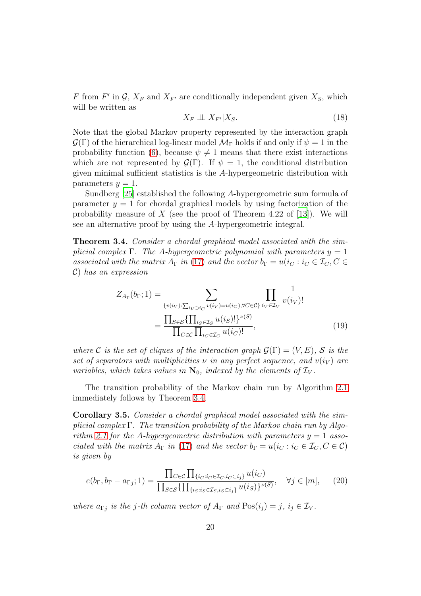F from F' in  $\mathcal{G}, X_F$  and  $X_{F'}$  are conditionally independent given  $X_S$ , which will be written as

<span id="page-19-2"></span>
$$
X_F \perp \!\!\!\perp X_{F'} | X_S. \tag{18}
$$

Note that the global Markov property represented by the interaction graph  $\mathcal{G}(\Gamma)$  of the hierarchical log-linear model  $\mathcal{M}_{\Gamma}$  holds if and only if  $\psi = 1$  in the probability function [\(6\)](#page-4-0), because  $\psi \neq 1$  means that there exist interactions which are not represented by  $\mathcal{G}(\Gamma)$ . If  $\psi = 1$ , the conditional distribution given minimal sufficient statistics is the A-hypergeometric distribution with parameters  $y = 1$ .

Sundberg [\[25](#page-39-2)] established the following A-hypergeometric sum formula of parameter  $y = 1$  for chordal graphical models by using factorization of the probability measure of  $X$  (see the proof of Theorem 4.22 of [\[13\]](#page-38-5)). We will see an alternative proof by using the A-hypergeometric integral.

<span id="page-19-0"></span>**Theorem 3.4.** Consider a chordal graphical model associated with the simplicial complex Γ. The A-hypergeometric polynomial with parameters  $y = 1$ associated with the matrix  $A_{\Gamma}$  in [\(17\)](#page-18-0) and the vector  $b_{\Gamma} = u(i_C : i_C \in \mathcal{I}_C, C \in$ C) has an expression

<span id="page-19-3"></span>
$$
Z_{A_{\Gamma}}(b_{\Gamma}; 1) = \sum_{\{v(i_V): \sum_{i_V} \supset i_C} \sum_{v(i_V) = u(i_C), \forall C \in \mathcal{C}\}} \prod_{i_V \in \mathcal{I}_V} \frac{1}{v(i_V)!}
$$

$$
= \frac{\prod_{S \in \mathcal{S}} \{\prod_{i_S \in \mathcal{I}_S} u(i_S)!\}^{\nu(S)}}{\prod_{C \in \mathcal{C}} \prod_{i_C \in \mathcal{I}_C} u(i_C)!},
$$
(19)

where C is the set of cliques of the interaction graph  $\mathcal{G}(\Gamma) = (V, E)$ , S is the set of separators with multiplicities  $\nu$  in any perfect sequence, and  $v(i_V)$  are variables, which takes values in  $\mathbf{N}_0$ , indexed by the elements of  $\mathcal{I}_V$ .

The transition probability of the Markov chain run by Algorithm [2.1](#page-7-0) immediately follows by Theorem [3.4.](#page-19-0)

Corollary 3.5. Consider a chordal graphical model associated with the simplicial complex Γ. The transition probability of the Markov chain run by Algo-rithm [2.1](#page-7-0) for the A-hypergeometric distribution with parameters  $y = 1$  associated with the matrix  $A_{\Gamma}$  in [\(17\)](#page-18-0) and the vector  $b_{\Gamma} = u(i_C : i_C \in \mathcal{I}_C, C \in \mathcal{C})$ is given by

<span id="page-19-1"></span>
$$
e(b_{\Gamma}, b_{\Gamma} - a_{\Gamma j}; 1) = \frac{\prod_{C \in \mathcal{C}} \prod_{\{i_C : i_C \in \mathcal{I}_C, i_C \subset i_j\}} u(i_C)}{\prod_{S \in \mathcal{S}} \{\prod_{\{i_S : i_S \in \mathcal{I}_S, i_S \subset i_j\}} u(i_S)\}^{\nu(S)}}, \quad \forall j \in [m], \quad (20)
$$

where  $a_{\Gamma j}$  is the j-th column vector of  $A_{\Gamma}$  and  $Pos(i_j) = j$ ,  $i_j \in \mathcal{I}_V$ .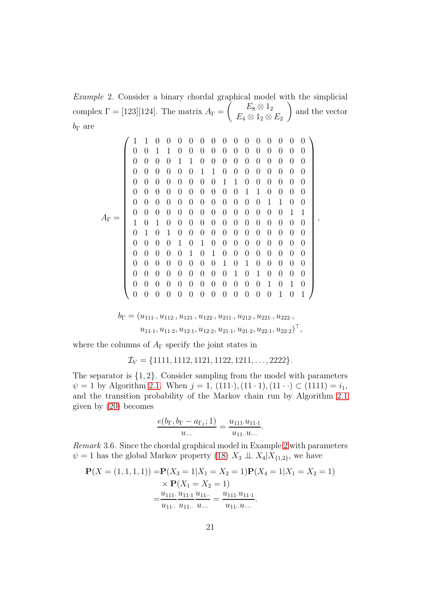<span id="page-20-0"></span>Example 2. Consider a binary chordal graphical model with the simplicial complex  $\Gamma = [123][124]$ . The matrix  $A_{\Gamma} =$  $\left( \begin{array}{c} E_8 \otimes 1_2 \end{array} \right)$  $E_4 \otimes 1_2 \otimes E_2$  $\setminus$ and the vector  $b_{\Gamma}$  are

A<sup>Γ</sup> = 1 1 0 0 0 0 0 0 0 0 0 0 0 0 0 0 0 0 1 1 0 0 0 0 0 0 0 0 0 0 0 0 0 0 0 0 1 1 0 0 0 0 0 0 0 0 0 0 0 0 0 0 0 0 1 1 0 0 0 0 0 0 0 0 0 0 0 0 0 0 0 0 1 1 0 0 0 0 0 0 0 0 0 0 0 0 0 0 0 0 1 1 0 0 0 0 0 0 0 0 0 0 0 0 0 0 0 0 1 1 0 0 0 0 0 0 0 0 0 0 0 0 0 0 0 0 1 1 1 0 1 0 0 0 0 0 0 0 0 0 0 0 0 0 0 1 0 1 0 0 0 0 0 0 0 0 0 0 0 0 0 0 0 0 1 0 1 0 0 0 0 0 0 0 0 0 0 0 0 0 0 1 0 1 0 0 0 0 0 0 0 0 0 0 0 0 0 0 0 0 1 0 1 0 0 0 0 0 0 0 0 0 0 0 0 0 0 1 0 1 0 0 0 0 0 0 0 0 0 0 0 0 0 0 0 0 1 0 1 0 0 0 0 0 0 0 0 0 0 0 0 0 0 1 0 1 ,

$$
b_{\Gamma} = (u_{111}, u_{112}, u_{121}, u_{122}, u_{211}, u_{212}, u_{221}, u_{222},
$$
  

$$
u_{11\cdot 1}, u_{11\cdot 2}, u_{12\cdot 1}, u_{12\cdot 2}, u_{21\cdot 1}, u_{21\cdot 2}, u_{22\cdot 1}, u_{22\cdot 2})^{\top},
$$

where the columns of  $A_{\Gamma}$  specify the joint states in

$$
\mathcal{I}_V = \{1111, 1112, 1121, 1122, 1211, \ldots, 2222\}.
$$

The separator is  $\{1, 2\}$ . Consider sampling from the model with parameters  $\psi = 1$  by Algorithm [2.1.](#page-7-0) When  $j = 1$ ,  $(111\cdot), (11\cdot1), (11\cdot\cdot) \subset (1111) = i_1$ , and the transition probability of the Markov chain run by Algorithm [2.1](#page-7-0) given by [\(20\)](#page-19-1) becomes

$$
\frac{e(b_{\Gamma}, b_{\Gamma} - a_{\Gamma_1}; 1)}{u_{\dots}} = \frac{u_{111}.u_{11.1}}{u_{11..}u_{\dots}}.
$$

Remark 3.6. Since the chordal graphical model in Example [2](#page-20-0) with parameters  $\psi = 1$  has the global Markov property [\(18\)](#page-19-2)  $X_3 \perp \perp X_4 | X_{\{1,2\}}$ , we have

$$
\mathbf{P}(X = (1, 1, 1, 1)) = \mathbf{P}(X_3 = 1 | X_1 = X_2 = 1) \mathbf{P}(X_4 = 1 | X_1 = X_2 = 1)
$$
  
\n
$$
\times \mathbf{P}(X_1 = X_2 = 1)
$$
  
\n
$$
= \frac{u_{111} \cdot u_{11} \cdot u_{11} \cdot u_{11} \cdot u_{11} \cdot u_{11}}{u_{11} \cdot u_{11} \cdot u_{11} \cdot u_{11} \cdot u_{11}}.
$$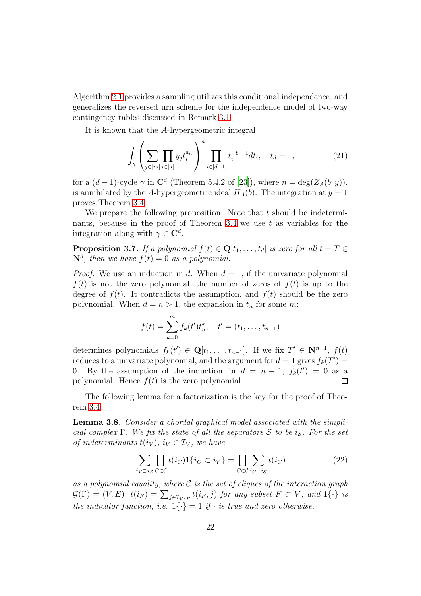Algorithm [2.1](#page-7-0) provides a sampling utilizes this conditional independence, and generalizes the reversed urn scheme for the independence model of two-way contingency tables discussed in Remark [3.1.](#page-15-1)

It is known that the A-hypergeometric integral

<span id="page-21-3"></span>
$$
\int_{\gamma} \left( \sum_{j \in [m]} \prod_{i \in [d]} y_j t_i^{a_{ij}} \right)^n \prod_{i \in [d-1]} t_i^{-b_i - 1} dt_i, \quad t_d = 1,
$$
\n(21)

for a  $(d-1)$ -cycle  $\gamma$  in  $\mathbb{C}^d$  (Theorem 5.4.2 of [\[23\]](#page-39-5)), where  $n = \deg(Z_A(b; y))$ , is annihilated by the A-hypergeometric ideal  $H_A(b)$ . The integration at  $y = 1$ proves Theorem [3.4.](#page-19-0)

We prepare the following proposition. Note that  $t$  should be indetermi-nants, because in the proof of Theorem [3.4](#page-19-0) we use  $t$  as variables for the integration along with  $\gamma \in \mathbb{C}^d$ .

<span id="page-21-0"></span>**Proposition 3.7.** If a polynomial  $f(t) \in \mathbf{Q}[t_1, \ldots, t_d]$  is zero for all  $t = T \in$  $\mathbf{N}^d$ , then we have  $f(t) = 0$  as a polynomial.

*Proof.* We use an induction in d. When  $d = 1$ , if the univariate polynomial  $f(t)$  is not the zero polynomial, the number of zeros of  $f(t)$  is up to the degree of  $f(t)$ . It contradicts the assumption, and  $f(t)$  should be the zero polynomial. When  $d = n > 1$ , the expansion in  $t_n$  for some m:

$$
f(t) = \sum_{k=0}^{m} f_k(t')t_n^k, \quad t' = (t_1, \dots, t_{n-1})
$$

determines polynomials  $f_k(t') \in \mathbf{Q}[t_1,\ldots,t_{n-1}]$ . If we fix  $T' \in \mathbf{N}^{n-1}$ ,  $f(t)$ reduces to a univariate polynomial, and the argument for  $d = 1$  gives  $f_k(T') =$ 0. By the assumption of the induction for  $d = n - 1$ ,  $f_k(t') = 0$  as a polynomial. Hence  $f(t)$  is the zero polynomial.  $\Box$ 

The following lemma for a factorization is the key for the proof of Theorem [3.4.](#page-19-0)

<span id="page-21-2"></span>Lemma 3.8. Consider a chordal graphical model associated with the simplicial complex Γ. We fix the state of all the separators S to be is. For the set of indeterminants  $t(i_V)$ ,  $i_V \in \mathcal{I}_V$ , we have

<span id="page-21-1"></span>
$$
\sum_{i_V \supset i_S} \prod_{C \in \mathcal{C}} t(i_C) 1\{i_C \subset i_V\} = \prod_{C \in \mathcal{C}} \sum_{i_C \equiv i_S} t(i_C) \tag{22}
$$

as a polynomial equality, where  $\mathcal C$  is the set of cliques of the interaction graph  $\mathcal{G}(\Gamma) = (V, E), t(i_F) = \sum_{j \in \mathcal{I}_{V \setminus F}} t(i_F, j)$  for any subset  $F \subset V$ , and  $1\{\cdot\}$  is the indicator function, i.e.  $1\{\cdot\} = 1$  if  $\cdot$  is true and zero otherwise.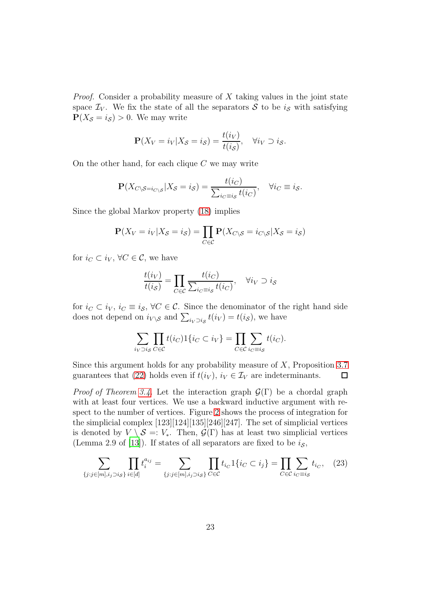*Proof.* Consider a probability measure of  $X$  taking values in the joint state space  $\mathcal{I}_V$ . We fix the state of all the separators S to be  $i_S$  with satisfying  $P(X_{\mathcal{S}} = i_{\mathcal{S}}) > 0$ . We may write

$$
\mathbf{P}(X_V = i_V | X_S = i_S) = \frac{t(i_V)}{t(i_S)}, \quad \forall i_V \supset i_S.
$$

On the other hand, for each clique  $C$  we may write

$$
\mathbf{P}(X_{C\setminus\mathcal{S}=i_{C\setminus\mathcal{S}}}|X_{\mathcal{S}}=i_{\mathcal{S}})=\frac{t(i_{C})}{\sum_{i_{C}\equiv i_{\mathcal{S}}}t(i_{C})},\quad\forall i_{C}\equiv i_{\mathcal{S}}.
$$

Since the global Markov property [\(18\)](#page-19-2) implies

$$
\mathbf{P}(X_V = i_V | X_S = i_S) = \prod_{C \in \mathcal{C}} \mathbf{P}(X_{C \setminus S} = i_{C \setminus S} | X_S = i_S)
$$

for  $i_C \subset i_V, \forall C \in \mathcal{C}$ , we have

$$
\frac{t(i_V)}{t(i_S)} = \prod_{C \in \mathcal{C}} \frac{t(i_C)}{\sum_{i_C \equiv i_S} t(i_C)}, \quad \forall i_V \supset i_S
$$

for  $i_C \subset i_V, i_C \equiv i_S, \forall C \in \mathcal{C}$ . Since the denominator of the right hand side does not depend on  $i_{V \setminus \mathcal{S}}$  and  $\sum_{i_V \supset i_{\mathcal{S}}} t(i_V) = t(i_{\mathcal{S}})$ , we have

$$
\sum_{i_V \supset i_S} \prod_{C \in \mathcal{C}} t(i_C) \mathbf{1} \{ i_C \subset i_V \} = \prod_{C \in \mathcal{C}} \sum_{i_C \equiv i_S} t(i_C).
$$

Since this argument holds for any probability measure of  $X$ , Proposition [3.7](#page-21-0) guarantees that [\(22\)](#page-21-1) holds even if  $t(i_V)$ ,  $i_V \in \mathcal{I}_V$  are indeterminants.  $\Box$ 

*Proof of Theorem [3.4.](#page-19-0)* Let the interaction graph  $\mathcal{G}(\Gamma)$  be a chordal graph with at least four vertices. We use a backward inductive argument with respect to the number of vertices. Figure [2](#page-17-0) shows the process of integration for the simplicial complex [123][124][135][246][247]. The set of simplicial vertices is denoted by  $V \setminus S =: V_*$ . Then,  $\mathcal{G}(\Gamma)$  has at least two simplicial vertices (Lemma 2.9 of [\[13](#page-38-5)]). If states of all separators are fixed to be  $i<sub>S</sub>$ ,

<span id="page-22-0"></span>
$$
\sum_{\{j:j\in[m],i_j>i_{\mathcal{S}}\}}\prod_{i\in[d]}t_i^{a_{ij}} = \sum_{\{j:j\in[m],i_j>i_{\mathcal{S}}\}}\prod_{C\in\mathcal{C}}t_{i_C}1\{i_C\subset i_j\} = \prod_{C\in\mathcal{C}}\sum_{i_C\equiv i_{\mathcal{S}}}t_{i_C},\quad(23)
$$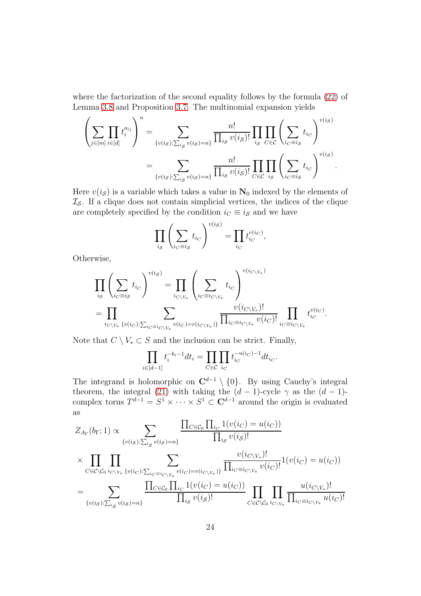where the factorization of the second equality follows by the formula [\(22\)](#page-21-1) of Lemma [3.8](#page-21-2) and Proposition [3.7.](#page-21-0) The multinomial expansion yields

$$
\left(\sum_{j\in[m]} \prod_{i\in[d]} t_i^{a_{ij}}\right)^n = \sum_{\{v(i_S): \sum_{i_S} v(i_S) = n\}} \frac{n!}{\prod_{i_S} v(i_S)!} \prod_{i_S} \prod_{C \in C} \left(\sum_{i_C \equiv i_S} t_{i_C}\right)^{v(i_S)}
$$

$$
= \sum_{\{v(i_S): \sum_{i_S} v(i_S) = n\}} \frac{n!}{\prod_{i_S} v(i_S)!} \prod_{C \in C} \prod_{i_S} \left(\sum_{i_C \equiv i_S} t_{i_C}\right)^{v(i_S)}.
$$

Here  $v(i<sub>S</sub>)$  is a variable which takes a value in  $N_0$  indexed by the elements of  $\mathcal{I}_{\mathcal{S}}$ . If a clique does not contain simplicial vertices, the indices of the clique are completely specified by the condition  $i<sub>C</sub> \equiv i<sub>S</sub>$  and we have

$$
\prod_{i_{\mathcal{S}}} \left( \sum_{i_{\mathcal{C}}=i_{\mathcal{S}}} t_{i_{\mathcal{C}}} \right)^{v(i_{\mathcal{S}})} = \prod_{i_{\mathcal{C}}} t_{i_{\mathcal{C}}}^{v(i_{\mathcal{C}})},
$$

Otherwise,

$$
\prod_{i_{\mathcal{S}}} \left( \sum_{i_{\mathcal{C}}=i_{\mathcal{S}}} t_{i_{\mathcal{C}}} \right)^{v(i_{\mathcal{S}})} = \prod_{i_{\mathcal{C}\backslash V_{*}}} \left( \sum_{i_{\mathcal{C}}=i_{\mathcal{C}\backslash V_{*}}} t_{i_{\mathcal{C}}} \right)^{v(i_{\mathcal{C}\backslash V_{*}})}
$$
\n
$$
= \prod_{i_{\mathcal{C}\backslash V_{*}}} \prod_{\{v(i_{\mathcal{C}}): \sum_{i_{\mathcal{C}}=i_{\mathcal{C}\backslash V_{*}}} v(i_{\mathcal{C}})=v(i_{\mathcal{C}\backslash V_{*}})\}} \frac{v(i_{\mathcal{C}\backslash V_{*}})}{\prod_{i_{\mathcal{C}}=i_{\mathcal{C}\backslash V_{*}}} v(i_{\mathcal{C}})!} \prod_{i_{\mathcal{C}}=i_{\mathcal{C}\backslash V_{*}}} t_{i_{\mathcal{C}}}^{v(i_{\mathcal{C}})}.
$$

Note that  $C \setminus V_* \subset S$  and the inclusion can be strict. Finally,

$$
\prod_{i\in[d-1]}t_i^{-b_i-1}dt_i=\prod_{C\in\mathcal{C}}\prod_{i_C}t_{i_C}^{-u(i_C)-1}dt_{i_C}.
$$

The integrand is holomorphic on  $\mathbb{C}^{d-1} \setminus \{0\}$ . By using Cauchy's integral theorem, the integral [\(21\)](#page-21-3) with taking the  $(d-1)$ -cycle  $\gamma$  as the  $(d-1)$ complex torus  $T^{d-1} = S^1 \times \cdots \times S^1 \subset \mathbb{C}^{d-1}$  around the origin is evaluated as

$$
Z_{A_{\Gamma}}(b_{\Gamma}; 1) \propto \sum_{\{v(i_{\mathcal{S}}): \sum_{i_{\mathcal{S}}} v(i_{\mathcal{S}}) = n\}} \frac{\prod_{C \in \mathcal{C}_0} \prod_{i_C} 1(v(i_C) = u(i_C))}{\prod_{i_{\mathcal{S}}} v(i_{\mathcal{S}})!}
$$
  
\$\times \prod\_{C \in \mathcal{C} \setminus \mathcal{C}\_0} \prod\_{i\_{C \setminus V\_\*} v(i\_C): \sum\_{i\_C \equiv i\_C \setminus V\_\*} v(i\_C) = v(i\_C \setminus V\_\*)}\n  
\$\neq \sum\_{\{v(i\_{\mathcal{S}}): \sum\_{i\_{\mathcal{S}}} v(i\_{\mathcal{S}}) = n\}} \frac{v(i\_{C \setminus V\_\*)}!}{\prod\_{i\_{\mathcal{S}}} 1(v(i\_C) = u(i\_C))} \prod\_{C \in \mathcal{C} \setminus \mathcal{C}\_0} v(i\_C)!} 1(v(i\_C) = u(i\_C))\$  
\$\neq \sum\_{\{v(i\_{\mathcal{S}}): \sum\_{i\_{\mathcal{S}}} v(i\_{\mathcal{S}}) = n\}} \frac{\prod\_{C \in \mathcal{C}\_0} \prod\_{i\_{C} \in \{v(i\_C) = u(i\_C)\}}}{\prod\_{i\_{\mathcal{S}}} v(i\_{\mathcal{S}})!} \prod\_{C \in \mathcal{C} \setminus \mathcal{C}\_0} \prod\_{i\_{C} \setminus V\_\*} \frac{u(i\_{C \setminus V\_\*)}!}{\prod\_{i\_C \equiv i\_{C \setminus V\_\*} u(i\_C)!}}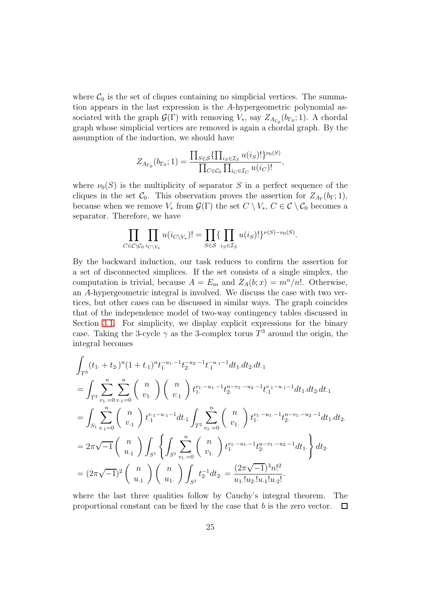where  $\mathcal{C}_0$  is the set of cliques containing no simplicial vertices. The summation appears in the last expression is the A-hypergeometric polynomial associated with the graph  $\mathcal{G}(\Gamma)$  with removing  $V_*$ , say  $Z_{A_{\Gamma_0}}(b_{\Gamma_0}; 1)$ . A chordal graph whose simplicial vertices are removed is again a chordal graph. By the assumption of the induction, we should have

$$
Z_{A_{\Gamma_0}}(b_{\Gamma_0}; 1) = \frac{\prod_{S \in \mathcal{S}} \{\prod_{i_S \in \mathcal{I}_S} u(i_S)!\}^{\nu_0(S)}}{\prod_{C \in \mathcal{C}_0} \prod_{i_C \in \mathcal{I}_C} u(i_C)!},
$$

where  $\nu_0(S)$  is the multiplicity of separator S in a perfect sequence of the cliques in the set  $\mathcal{C}_0$ . This observation proves the assertion for  $Z_{A_{\Gamma}}(b_{\Gamma}; 1)$ , because when we remove  $V_*$  from  $\mathcal{G}(\Gamma)$  the set  $C \setminus V_*, C \in \mathcal{C} \setminus \mathcal{C}_0$  becomes a separator. Therefore, we have

$$
\prod_{C \in \mathcal{C} \setminus \mathcal{C}_0} \prod_{i_{C \setminus V_*}} u(i_{C \setminus V_*})! = \prod_{S \in \mathcal{S}} \{ \prod_{i_S \in \mathcal{I}_S} u(i_S)! \}^{\nu(S) - \nu_0(S)}.
$$

By the backward induction, our task reduces to confirm the assertion for a set of disconnected simplices. If the set consists of a single simplex, the computation is trivial, because  $A = E_m$  and  $Z_A(b; x) = m^n/n!$ . Otherwise, an A-hypergeometric integral is involved. We discuss the case with two vertices, but other cases can be discussed in similar ways. The graph coincides that of the independence model of two-way contingency tables discussed in Section [3.1.](#page-13-0) For simplicity, we display explicit expressions for the binary case. Taking the 3-cycle  $\gamma$  as the 3-complex torus  $T^3$  around the origin, the integral becomes

$$
\int_{T^3} (t_1 + t_2)^n (1 + t_1)^n t_1^{-u_1 - 1} t_2^{-u_2 - 1} t_1^{-u_1 - 1} dt_1 dt_2 dt_1
$$
\n
$$
= \int_{T^3} \sum_{v_1=0}^n \sum_{v_{11}=0}^n {n \choose v_1} {n \choose v_1} t_1^{v_1 - u_1 - 1} t_2^{n - v_1 - u_2 - 1} t_1^{v_1 - u_1 - 1} dt_1 dt_2 dt_1
$$
\n
$$
= \int_{S_1} \sum_{v_{11}=0}^n {n \choose v_1} t_1^{v_1 - u_1 - 1} dt_1 \int_{T^2} \sum_{v_1=0}^n {n \choose v_1} t_1^{v_1 - u_1 - 1} t_2^{n - v_1 - u_2 - 1} dt_1 dt_2.
$$
\n
$$
= 2\pi \sqrt{-1} {n \choose u_1} \int_{S^1} \left\{ \int_{S^1} \sum_{v_1=0}^n {n \choose v_1} t_1^{v_1 - u_1 - 1} t_2^{u - v_1 - u_2 - 1} dt_1 \right\} dt_2.
$$
\n
$$
= (2\pi \sqrt{-1})^2 {n \choose u_1} {n \choose u_1} \int_{S^1} t_2^{-1} dt_2 = \frac{(2\pi \sqrt{-1})^3 n!^2}{u_1! u_2! u_1! u_2!}.
$$

where the last three qualities follow by Cauchy's integral theorem. The proportional constant can be fixed by the case that b is the zero vector.  $\Box$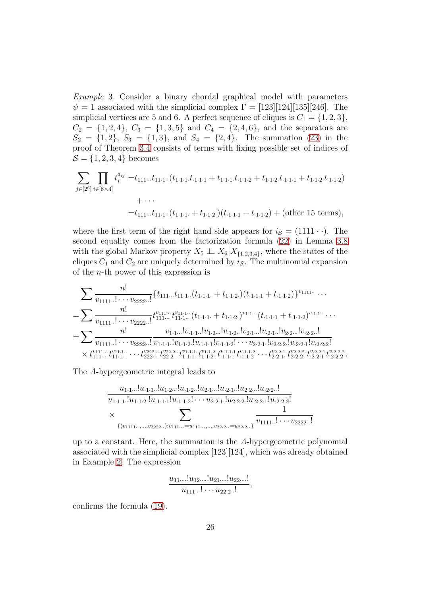Example 3. Consider a binary chordal graphical model with parameters  $\psi = 1$  associated with the simplicial complex  $\Gamma = [123][124][135][246]$ . The simplicial vertices are 5 and 6. A perfect sequence of cliques is  $C_1 = \{1, 2, 3\},\$  $C_2 = \{1, 2, 4\}, C_3 = \{1, 3, 5\}$  and  $C_4 = \{2, 4, 6\},$  and the separators are  $S_2 = \{1, 2\}, S_3 = \{1, 3\}, \text{ and } S_4 = \{2, 4\}.$  The summation [\(23\)](#page-22-0) in the proof of Theorem [3.4](#page-19-0) consists of terms with fixing possible set of indices of  $S = \{1, 2, 3, 4\}$  becomes

$$
\sum_{j \in [2^6]} \prod_{i \in [8 \times 4]} t_i^{a_{ij}} = t_{111\ldots} t_{11\cdot 1\ldots} (t_{1\cdot 1\cdot 1\cdot 1} t_{1\cdot 1\cdot 1\cdot 1} + t_{1\cdot 1\cdot 1\cdot 1\cdot 2} + t_{1\cdot 1\cdot 2} t_{\cdot 1\cdot 1\cdot 1} + t_{1\cdot 1\cdot 2} t_{\cdot 1\cdot 1\cdot 2})
$$
  
+ ...  
= $t_{111\ldots} t_{11\cdot 1\ldots} (t_{1\cdot 1\cdot 1} + t_{1\cdot 1\cdot 2}) (t_{\cdot 1\cdot 1\cdot 1} + t_{\cdot 1\cdot 1\cdot 2}) + (\text{other 15 terms}),$ 

where the first term of the right hand side appears for  $i<sub>S</sub> = (1111 \cdot \cdot)$ . The second equality comes from the factorization formula [\(22\)](#page-21-1) in Lemma [3.8](#page-21-2) with the global Markov property  $X_5 \perp\!\!\!\perp X_6 | X_{\{1,2,3,4\}}$ , where the states of the cliques  $C_1$  and  $C_2$  are uniquely determined by  $i<sub>S</sub>$ . The multinomial expansion of the n-th power of this expression is

$$
\begin{split} &\sum \frac{n!}{v_{1111\ldots 1}\ldots v_{2222\ldots 1}}\{t_{111\ldots 1}t_{11\ldots 1}+(t_{1\cdot 1\cdot 1}+t_{1\cdot 1\cdot 2})(t_{\cdot 1\cdot 1\cdot 1}+t_{\cdot 1\cdot 1\cdot 2})\}^{v_{1111\ldots 1}}\ldots\\ &=\sum \frac{n!}{v_{1111\ldots 1}\ldots v_{2222\ldots 1}}t_{111\ldots 1}^{v_{111\ldots 1}+v_{11\cdot 1\ldots 1}}(t_{1\cdot 1\cdot 1}+t_{1\cdot 1\cdot 2})^{v_{1\cdot 1\ldots 1}}(t_{\cdot 1\cdot 1\cdot 1}+t_{\cdot 1\cdot 1\cdot 2})^{v_{\cdot 1\cdot 1\ldots 1}}\ldots\\ &=\sum \frac{n!}{v_{1111\ldots 1}\ldots v_{2222\ldots 1}}\frac{v_{1\cdot 1\ldots 1}v_{1\cdot 1\ldots 1}v_{1\cdot 1\ldots 1}v_{1\cdot 2\ldots 1}v_{1\cdot 1\cdot 2\ldots 1}v_{2\cdot 1\ldots 1}v_{2\cdot 1\ldots 1}v_{2\cdot 2\ldots 1}v_{2\cdot 2\ldots 1}v_{2\cdot 2\ldots 2\ldots 1}\\ &\times t_{111\ldots 1}^{v_{111\ldots 1}}\ldots t_{222\ldots 1}^{v_{222\ldots 1}}t_{22\cdot 2\ldots}^{v_{22\cdot 2\ldots 1}}t_{1\cdot 1\cdot 1}^{v_{1\cdot 1\cdot 1}}t_{1\cdot 1\cdot 2}^{v_{1\cdot 1\cdot 1}}t_{1\cdot 1\cdot 1}^{v_{1\cdot 1\cdot 1}}t_{1\cdot 1\cdot 2}^{v_{1\cdot 1\cdot 1}}\ldots t_{22\cdot 2\cdot 1}^{v_{2\cdot 2\cdot 2\ldots 1}}t_{2\cdot 2\cdot 2}^{v_{2\cdot 2\cdot 1}}t_{2\cdot 2\cdot 2}^{v_{2\cdot 2\cdot 1}}t_{2\cdot 2\cdot 2}^{v_{2\cdot
$$

.

The A-hypergeometric integral leads to

$$
\frac{u_{1\cdot 1\cdot \cdot \cdot}!u_{1\cdot 1\cdot \cdot \cdot}!u_{1\cdot 2\cdot \cdot \cdot}!u_{1\cdot 2\cdot \cdot \cdot}!u_{2\cdot 1\cdot \cdot \cdot}!u_{2\cdot 1\cdot \cdot \cdot}!u_{2\cdot 2\cdot \cdot \cdot}!u_{2\cdot 2\cdot \cdot \cdot}!u_{2\cdot 2\cdot \cdot \cdot}!u_{1\cdot 1\cdot 1}\cdot u_{1\cdot 1\cdot 1\cdot 2}!u_{1\cdot 1\cdot 1\cdot 1}!u_{1\cdot 1\cdot 2}!\cdots u_{2\cdot 2\cdot 1!}u_{2\cdot 2\cdot 2\cdot 1}!u_{2\cdot 2\cdot 2\cdot 1}!u_{2\cdot 2\cdot 2\cdot 1}!u_{2\cdot 2\cdot 2\cdot 1}!u_{2\cdot 2\cdot 2\cdot 1}!u_{2\cdot 2\cdot 2\cdot 1}!u_{2\cdot 2\cdot 2\cdot 1}!u_{2\cdot 2\cdot 2\cdot 1}!u_{2\cdot 2\cdot 2\cdot 1}!\cdots v_{2\cdot 2\cdot 2\cdot 1}!\cdots v_{2\cdot 2\cdot 2\cdot 1}!\cdots v_{2\cdot 2\cdot 2\cdot 1}!\cdots v_{2\cdot 2\cdot 2\cdot 1}!\cdots v_{2\cdot 2\cdot 2\cdot 1}!\cdots v_{2\cdot 2\cdot 2\cdot 1}!\cdots v_{2\cdot 2\cdot 1}!\cdots v_{2\cdot 2\cdot 1}!\cdots v_{2\cdot 2\cdot 1}!\cdots v_{2\cdot 2\cdot 1}!\cdots v_{2\cdot 2\cdot 1}!\cdots v_{2\cdot 2\cdot 1}!\cdots v_{2\cdot 2\cdot 1}!\cdots v_{2\cdot 2\cdot 1}!\cdots v_{2\cdot 2\cdot 1}!\cdots v_{2\cdot 2\cdot 1}!\cdots v_{2\cdot 2\cdot 1}!\cdots v_{2\cdot 1}!\cdots v_{2\cdot 1}\cdots v_{2\cdot 1}\cdots v_{2\cdot 1}\cdots v_{2\cdot 1}\cdots v_{2\cdot 1}\cdots v_{2\cdot 1}\cdots v_{2\cdot 1}\cdots v_{2\cdot 1}\cdots v_{2\cdot 1}\cdots v_{2\cdot 1}\cdots v_{
$$

up to a constant. Here, the summation is the A-hypergeometric polynomial associated with the simplicial complex [123][124], which was already obtained in Example [2.](#page-20-0) The expression

$$
\frac{u_{11}...u_{12}...u_{21}...u_{22}...!}{u_{111}...u_{122}...}
$$

confirms the formula [\(19\)](#page-19-3).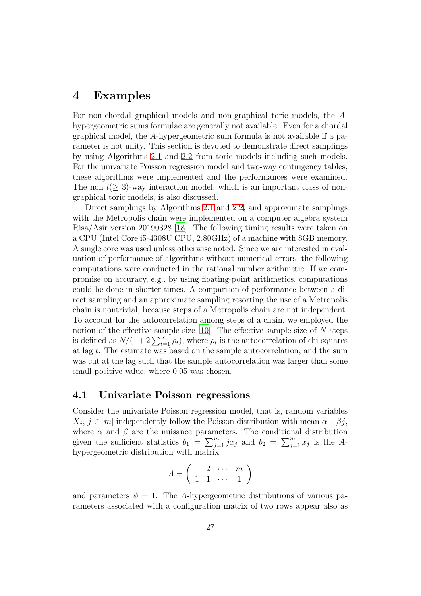# <span id="page-26-0"></span>4 Examples

For non-chordal graphical models and non-graphical toric models, the Ahypergeometric sums formulae are generally not available. Even for a chordal graphical model, the A-hypergeometric sum formula is not available if a parameter is not unity. This section is devoted to demonstrate direct samplings by using Algorithms [2.1](#page-7-0) and [2.2](#page-11-0) from toric models including such models. For the univariate Poisson regression model and two-way contingency tables, these algorithms were implemented and the performances were examined. The non  $l(> 3)$ -way interaction model, which is an important class of nongraphical toric models, is also discussed.

Direct samplings by Algorithms [2.1](#page-7-0) and [2.2,](#page-11-0) and approximate samplings with the Metropolis chain were implemented on a computer algebra system Risa/Asir version 20190328 [\[18](#page-38-7)]. The following timing results were taken on a CPU (Intel Core i5-4308U CPU, 2.80GHz) of a machine with 8GB memory. A single core was used unless otherwise noted. Since we are interested in evaluation of performance of algorithms without numerical errors, the following computations were conducted in the rational number arithmetic. If we compromise on accuracy, e.g., by using floating-point arithmetics, computations could be done in shorter times. A comparison of performance between a direct sampling and an approximate sampling resorting the use of a Metropolis chain is nontrivial, because steps of a Metropolis chain are not independent. To account for the autocorrelation among steps of a chain, we employed the notion of the effective sample size  $[10]$ . The effective sample size of N steps is defined as  $N/(1+2\sum_{t=1}^{\infty}\rho_t)$ , where  $\rho_t$  is the autocorrelation of chi-squares at lag t. The estimate was based on the sample autocorrelation, and the sum was cut at the lag such that the sample autocorrelation was larger than some small positive value, where  $0.05$  was chosen.

#### 4.1 Univariate Poisson regressions

Consider the univariate Poisson regression model, that is, random variables  $X_j, j \in [m]$  independently follow the Poisson distribution with mean  $\alpha + \beta j$ , where  $\alpha$  and  $\beta$  are the nuisance parameters. The conditional distribution given the sufficient statistics  $b_1 = \sum_{j=1}^m jx_j$  and  $b_2 = \sum_{j=1}^m x_j$  is the Ahypergeometric distribution with matrix

$$
A = \left( \begin{array}{cccc} 1 & 2 & \cdots & m \\ 1 & 1 & \cdots & 1 \end{array} \right)
$$

and parameters  $\psi = 1$ . The A-hypergeometric distributions of various parameters associated with a configuration matrix of two rows appear also as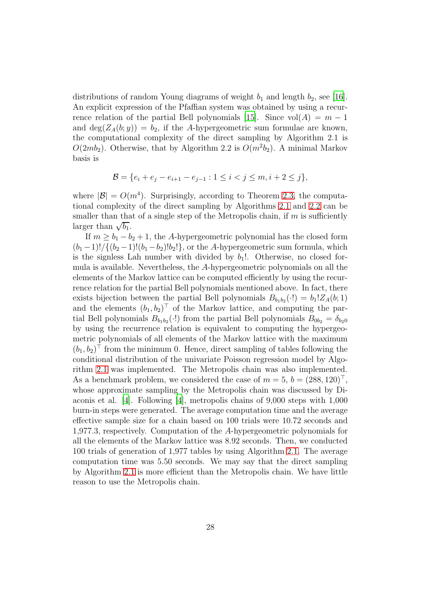distributions of random Young diagrams of weight  $b_1$  and length  $b_2$ , see [\[16\]](#page-38-4). An explicit expression of the Pfaffian system was obtained by using a recur-rence relation of the partial Bell polynomials [\[15\]](#page-38-3). Since  $vol(A) = m - 1$ and  $\deg(Z_A(b; y)) = b_2$ , if the A-hypergeometric sum formulae are known, the computational complexity of the direct sampling by Algorithm 2.1 is  $O(2mb_2)$ . Otherwise, that by Algorithm 2.2 is  $O(m^2b_2)$ . A minimal Markov basis is

$$
\mathcal{B} = \{e_i + e_j - e_{i+1} - e_{j-1} : 1 \le i < j \le m, i+2 \le j\},\
$$

where  $|\mathcal{B}| = O(m^4)$ . Surprisingly, according to Theorem [2.3,](#page-12-1) the computational complexity of the direct sampling by Algorithms [2.1](#page-7-0) and [2.2](#page-11-0) can be smaller than that of a single step of the Metropolis chain, if  $m$  is sufficiently larger than  $\sqrt{b_1}$ .

If  $m \ge b_1 - b_2 + 1$ , the A-hypergeometric polynomial has the closed form  $(b_1 - 1)! / \{(b_2 - 1)!(b_1 - b_2)!b_2!\}$ , or the A-hypergeometric sum formula, which is the signless Lah number with divided by  $b_1!$ . Otherwise, no closed formula is available. Nevertheless, the A-hypergeometric polynomials on all the elements of the Markov lattice can be computed efficiently by using the recurrence relation for the partial Bell polynomials mentioned above. In fact, there exists bijection between the partial Bell polynomials  $B_{b_1b_2}(\cdot) = b_1 Z_A(b; 1)$ and the elements  $(b_1, b_2)^\top$  of the Markov lattice, and computing the partial Bell polynomials  $B_{b_1b_2}(\cdot)$  from the partial Bell polynomials  $B_{0b_2} = \delta_{b_2 0}$ by using the recurrence relation is equivalent to computing the hypergeometric polynomials of all elements of the Markov lattice with the maximum  $(b_1, b_2)$ <sup>T</sup> from the minimum 0. Hence, direct sampling of tables following the conditional distribution of the univariate Poisson regression model by Algorithm [2.1](#page-7-0) was implemented. The Metropolis chain was also implemented. As a benchmark problem, we considered the case of  $m = 5$ ,  $b = (288, 120)^\top$ , whose approximate sampling by the Metropolis chain was discussed by Diaconis et al. [\[4](#page-37-4)]. Following [\[4](#page-37-4)], metropolis chains of 9,000 steps with 1,000 burn-in steps were generated. The average computation time and the average effective sample size for a chain based on 100 trials were 10.72 seconds and 1,977.3, respectively. Computation of the A-hypergeometric polynomials for all the elements of the Markov lattice was 8.92 seconds. Then, we conducted 100 trials of generation of 1,977 tables by using Algorithm [2.1.](#page-7-0) The average computation time was 5.50 seconds. We may say that the direct sampling by Algorithm [2.1](#page-7-0) is more efficient than the Metropolis chain. We have little reason to use the Metropolis chain.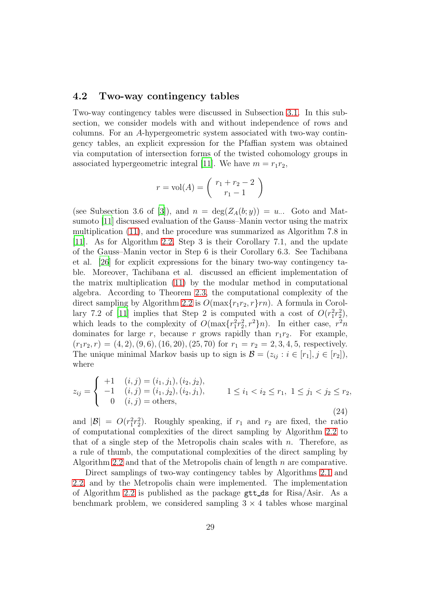### 4.2 Two-way contingency tables

Two-way contingency tables were discussed in Subsection [3.1.](#page-13-0) In this subsection, we consider models with and without independence of rows and columns. For an A-hypergeometric system associated with two-way contingency tables, an explicit expression for the Pfaffian system was obtained via computation of intersection forms of the twisted cohomology groups in associated hypergeometric integral [\[11](#page-38-8)]. We have  $m = r_1 r_2$ ,

$$
r = vol(A) = {r_1 + r_2 - 2 \choose r_1 - 1}
$$

(see Subsection 3.6 of [\[3\]](#page-37-3)), and  $n = \deg(Z_A(b; y)) = u...$  Goto and Matsumoto [\[11](#page-38-8)] discussed evaluation of the Gauss–Manin vector using the matrix multiplication [\(11\)](#page-9-0), and the procedure was summarized as Algorithm 7.8 in [\[11\]](#page-38-8). As for Algorithm [2.2,](#page-11-0) Step 3 is their Corollary 7.1, and the update of the Gauss–Manin vector in Step 6 is their Corollary 6.3. See Tachibana et al. [\[26\]](#page-39-8) for explicit expressions for the binary two-way contingency table. Moreover, Tachibana et al. discussed an efficient implementation of the matrix multiplication [\(11\)](#page-9-0) by the modular method in computational algebra. According to Theorem [2.3,](#page-12-1) the computational complexity of the direct sampling by Algorithm [2.2](#page-11-0) is  $O(\max\{r_1r_2, r\}rn)$ . A formula in Corol-lary 7.2 of [\[11\]](#page-38-8) implies that Step 2 is computed with a cost of  $O(r_1^2r_2^2)$ , which leads to the complexity of  $O(\max\{r_1^2r_2^2, r^2\}n)$ . In either case,  $r^2n$ dominates for large r, because r grows rapidly than  $r_1r_2$ . For example,  $(r_1r_2, r) = (4, 2), (9, 6), (16, 20), (25, 70)$  for  $r_1 = r_2 = 2, 3, 4, 5$ , respectively. The unique minimal Markov basis up to sign is  $\mathcal{B} = (z_{ij} : i \in [r_1], j \in [r_2]),$ where

<span id="page-28-0"></span>
$$
z_{ij} = \begin{cases} +1 & (i,j) = (i_1, j_1), (i_2, j_2), \\ -1 & (i,j) = (i_1, j_2), (i_2, j_1), \\ 0 & (i,j) = \text{others}, \end{cases} \quad 1 \le i_1 < i_2 \le r_1, \ 1 \le j_1 < j_2 \le r_2, \tag{24}
$$

and  $|\mathcal{B}| = O(r_1^2 r_2^2)$ . Roughly speaking, if  $r_1$  and  $r_2$  are fixed, the ratio of computational complexities of the direct sampling by Algorithm [2.2](#page-11-0) to that of a single step of the Metropolis chain scales with n. Therefore, as a rule of thumb, the computational complexities of the direct sampling by Algorithm [2.2](#page-11-0) and that of the Metropolis chain of length  $n$  are comparative.

Direct samplings of two-way contingency tables by Algorithms [2.1](#page-7-0) and [2.2,](#page-11-0) and by the Metropolis chain were implemented. The implementation of Algorithm [2.2](#page-11-0) is published as the package  $g$ tt\_ds for Risa/Asir. As a benchmark problem, we considered sampling  $3 \times 4$  tables whose marginal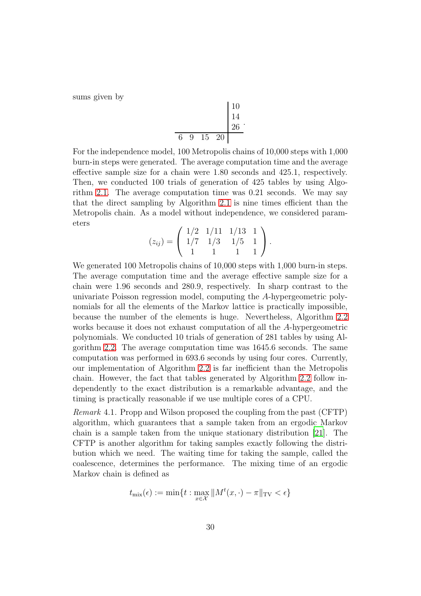sums given by

$$
\begin{array}{c|cc}\n & 10 \\
 & 14 \\
 & 26 \\
\hline\n & 6 & 9 & 15 & 20\n\end{array}
$$

For the independence model, 100 Metropolis chains of 10,000 steps with 1,000 burn-in steps were generated. The average computation time and the average effective sample size for a chain were 1.80 seconds and 425.1, respectively. Then, we conducted 100 trials of generation of 425 tables by using Algorithm [2.1.](#page-7-0) The average computation time was 0.21 seconds. We may say that the direct sampling by Algorithm [2.1](#page-7-0) is nine times efficient than the Metropolis chain. As a model without independence, we considered parameters

$$
(z_{ij}) = \left(\begin{array}{rrr} 1/2 & 1/11 & 1/13 & 1 \\ 1/7 & 1/3 & 1/5 & 1 \\ 1 & 1 & 1 & 1 \end{array}\right).
$$

We generated 100 Metropolis chains of 10,000 steps with 1,000 burn-in steps. The average computation time and the average effective sample size for a chain were 1.96 seconds and 280.9, respectively. In sharp contrast to the univariate Poisson regression model, computing the A-hypergeometric polynomials for all the elements of the Markov lattice is practically impossible, because the number of the elements is huge. Nevertheless, Algorithm [2.2](#page-11-0) works because it does not exhaust computation of all the A-hypergeometric polynomials. We conducted 10 trials of generation of 281 tables by using Algorithm [2.2.](#page-11-0) The average computation time was 1645.6 seconds. The same computation was performed in 693.6 seconds by using four cores. Currently, our implementation of Algorithm [2.2](#page-11-0) is far inefficient than the Metropolis chain. However, the fact that tables generated by Algorithm [2.2](#page-11-0) follow independently to the exact distribution is a remarkable advantage, and the timing is practically reasonable if we use multiple cores of a CPU.

Remark 4.1. Propp and Wilson proposed the coupling from the past (CFTP) algorithm, which guarantees that a sample taken from an ergodic Markov chain is a sample taken from the unique stationary distribution [\[21\]](#page-39-9). The CFTP is another algorithm for taking samples exactly following the distribution which we need. The waiting time for taking the sample, called the coalescence, determines the performance. The mixing time of an ergodic Markov chain is defined as

$$
t_{\text{mix}}(\epsilon) := \min\{t : \max_{x \in \mathcal{X}} \|M^t(x, \cdot) - \pi\|_{\text{TV}} < \epsilon\}
$$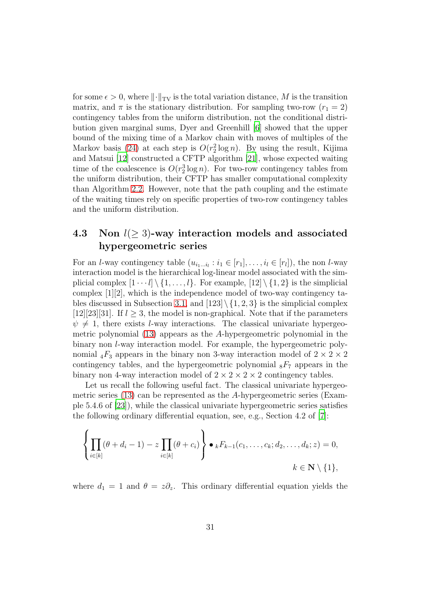for some  $\epsilon > 0$ , where  $\lVert \cdot \rVert_{TV}$  is the total variation distance, M is the transition matrix, and  $\pi$  is the stationary distribution. For sampling two-row  $(r_1 = 2)$ contingency tables from the uniform distribution, not the conditional distribution given marginal sums, Dyer and Greenhill [\[6\]](#page-37-5) showed that the upper bound of the mixing time of a Markov chain with moves of multiples of the Markov basis [\(24\)](#page-28-0) at each step is  $O(r_2^2 \log n)$ . By using the result, Kijima and Matsui [\[12](#page-38-9)] constructed a CFTP algorithm [\[21\]](#page-39-9), whose expected waiting time of the coalescence is  $O(r_2^3 \log n)$ . For two-row contingency tables from the uniform distribution, their CFTP has smaller computational complexity than Algorithm [2.2.](#page-11-0) However, note that the path coupling and the estimate of the waiting times rely on specific properties of two-row contingency tables and the uniform distribution.

## 4.3 Non  $l(\geq 3)$ -way interaction models and associated hypergeometric series

For an *l*-way contingency table  $(u_{i_1...i_l}: i_1 \in [r_1], \ldots, i_l \in [r_l])$ , the non *l*-way interaction model is the hierarchical log-linear model associated with the simplicial complex  $[1 \cdots l] \setminus \{1, \ldots, l\}$ . For example,  $[12] \setminus \{1, 2\}$  is the simplicial complex [1][2], which is the independence model of two-way contingency ta-bles discussed in Subsection [3.1,](#page-13-0) and  $[123] \{1, 2, 3\}$  is the simplicial complex [12][23][31]. If  $l > 3$ , the model is non-graphical. Note that if the parameters  $\psi \neq 1$ , there exists *l*-way interactions. The classical univariate hypergeometric polynomial [\(13\)](#page-13-2) appears as the A-hypergeometric polynomial in the binary non l-way interaction model. For example, the hypergeometric polynomial  ${}_4F_3$  appears in the binary non 3-way interaction model of  $2 \times 2 \times 2$ contingency tables, and the hypergeometric polynomial  $_8F_7$  appears in the binary non-4-way interaction model of  $2 \times 2 \times 2 \times 2$  contingency tables.

Let us recall the following useful fact. The classical univariate hypergeometric series [\(13\)](#page-13-2) can be represented as the A-hypergeometric series (Example 5.4.6 of [\[23\]](#page-39-5)), while the classical univariate hypergeometric series satisfies the following ordinary differential equation, see, e.g., Section 4.2 of [\[7](#page-38-6)]:

$$
\left\{\prod_{i\in[k]}(\theta+d_i-1)-z\prod_{i\in[k]}(\theta+c_i)\right\}\bullet_kF_{k-1}(c_1,\ldots,c_k;d_2,\ldots,d_k;z)=0,
$$
  
 $k\in\mathbb{N}\setminus\{1\},\$ 

where  $d_1 = 1$  and  $\theta = z\partial_z$ . This ordinary differential equation yields the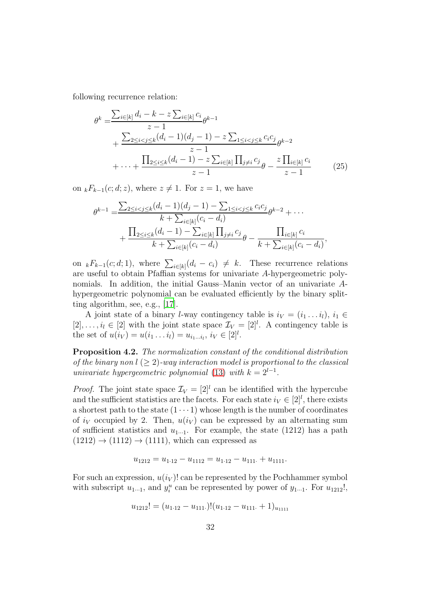following recurrence relation:

$$
\theta^{k} = \frac{\sum_{i \in [k]} d_{i} - k - z \sum_{i \in [k]} c_{i}}{z - 1} + \frac{\sum_{2 \leq i < j \leq k} (d_{i} - 1)(d_{j} - 1) - z \sum_{1 \leq i < j \leq k} c_{i} c_{j}}{z - 1} + \dots + \frac{\prod_{2 \leq i \leq k} (d_{i} - 1) - z \sum_{i \in [k]} \prod_{j \neq i} c_{j}}{z - 1} + \dots + \frac{\sum_{2 \leq i \leq k} (d_{i} - 1) - z \sum_{i \in [k]} \prod_{j \neq i} c_{j}}{z - 1} \tag{25}
$$

on  $_kF_{k-1}(c; d; z)$ , where  $z \neq 1$ . For  $z = 1$ , we have

<span id="page-31-0"></span>
$$
\theta^{k-1} = \frac{\sum_{2 \le i < j \le k} (d_i - 1)(d_j - 1) - \sum_{1 \le i < j \le k} c_i c_j}{k + \sum_{i \in [k]} (c_i - d_i)} + \frac{\prod_{2 \le i \le k} (d_i - 1) - \sum_{i \in [k]} \prod_{j \ne i} c_j}{k + \sum_{i \in [k]} (c_i - d_i)} + \frac{\prod_{i \in [k]} c_i}{k + \sum_{i \in [k]} (c_i - d_i)},
$$

on  ${}_{k}F_{k-1}(c; d; 1)$ , where  $\sum_{i\in[k]}(d_i - c_i) \neq k$ . These recurrence relations are useful to obtain Pfaffian systems for univariate A-hypergeometric polynomials. In addition, the initial Gauss–Manin vector of an univariate Ahypergeometric polynomial can be evaluated efficiently by the binary splitting algorithm, see, e.g., [\[17](#page-38-10)].

A joint state of a binary *l*-way contingency table is  $i_V = (i_1 \dots i_l), i_1 \in$  $[2], \ldots, i_l \in [2]$  with the joint state space  $\mathcal{I}_V = [2]^l$ . A contingency table is the set of  $u(i_V) = u(i_1 \dots i_l) = u_{i_1 \dots i_l}, i_V \in [2]^l$ .

<span id="page-31-1"></span>Proposition 4.2. The normalization constant of the conditional distribution of the binary non  $l \geq 2$ )-way interaction model is proportional to the classical univariate hypergeometric polynomial [\(13\)](#page-13-2) with  $k = 2^{l-1}$ .

*Proof.* The joint state space  $\mathcal{I}_V = [2]^l$  can be identified with the hypercube and the sufficient statistics are the facets. For each state  $i_V \in [2]^l$ , there exists a shortest path to the state  $(1 \cdots 1)$  whose length is the number of coordinates of  $i_V$  occupied by 2. Then,  $u(i_V)$  can be expressed by an alternating sum of sufficient statistics and  $u_{1\cdots1}$ . For example, the state (1212) has a path  $(1212) \rightarrow (1112) \rightarrow (1111)$ , which can expressed as

$$
u_{1212} = u_{1\cdot 12} - u_{1112} = u_{1\cdot 12} - u_{111} + u_{1111}.
$$

For such an expression,  $u(i_V)$ ! can be represented by the Pochhammer symbol with subscript  $u_{1\cdots 1}$ , and  $y_i^u$  can be represented by power of  $y_{1\cdots 1}$ . For  $u_{1212}!$ ,

$$
u_{1212}! = (u_{1\cdot 12} - u_{111\cdot})!(u_{1\cdot 12} - u_{111\cdot} + 1)_{u_{1111}}
$$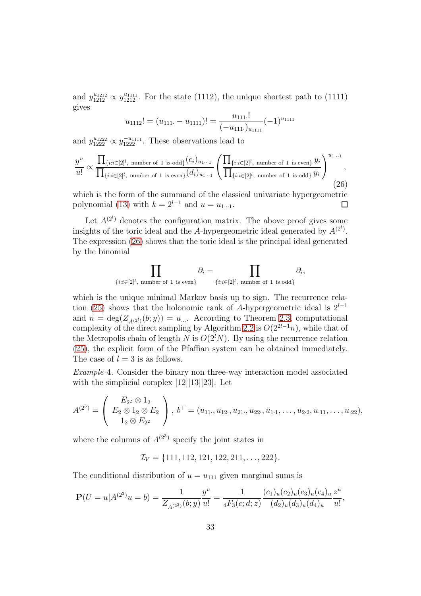and  $y_{1212}^{u_{1212}} \propto y_{1212}^{u_{1111}}$ . For the state (1112), the unique shortest path to (1111) gives

$$
u_{1112}! = (u_{111} - u_{1111})! = \frac{u_{111}!}{(-u_{111} \cdot)_{u_{1111}}} (-1)^{u_{1111}}
$$

and  $y_{1222}^{u_{1222}} \propto y_{1222}^{-u_{1111}}$ . These observations lead to

<span id="page-32-0"></span>
$$
\frac{y^u}{u!} \propto \frac{\prod_{\{i:i\in[2]^l,\text{ number of 1 is odd}\}} (c_i)_{u_1...1}}{\prod_{\{i:i\in[2]^l,\text{ number of 1 is even}\}} (d_i)_{u_1...1}} \left( \frac{\prod_{\{i:i\in[2]^l,\text{ number of 1 is even}\}} y_i}{\prod_{\{i:i\in[2]^l,\text{ number of 1 is odd}\}} y_i} \right)^{u_1...1},
$$
\n(26)

which is the form of the summand of the classical univariate hypergeometric polynomial [\(13\)](#page-13-2) with  $k = 2^{l-1}$  and  $u = u_{1...1}$ . □

Let  $A^{(2^l)}$  denotes the configuration matrix. The above proof gives some insights of the toric ideal and the A-hypergeometric ideal generated by  $A^{(2^l)}$ . The expression [\(26\)](#page-32-0) shows that the toric ideal is the principal ideal generated by the binomial

$$
\prod_{\{i:i\in [2]^l,\text{ number of 1 is even}\}}\partial_i-\prod_{\{i:i\in [2]^l,\text{ number of 1 is odd}\}}\partial_i,
$$

which is the unique minimal Markov basis up to sign. The recurrence rela-tion [\(25\)](#page-31-0) shows that the holonomic rank of A-hypergeometric ideal is  $2^{l-1}$ and  $n = \deg(Z_{A(2^l)}(b; y)) = u_{\dots}$ . According to Theorem [2.3,](#page-12-1) computational complexity of the direct sampling by Algorithm [2.2](#page-11-0) is  $O(2^{2l-1}n)$ , while that of the Metropolis chain of length N is  $O(2^lN)$ . By using the recurrence relation [\(25\)](#page-31-0), the explicit form of the Pfaffian system can be obtained immediately. The case of  $l = 3$  is as follows.

<span id="page-32-1"></span>Example 4. Consider the binary non three-way interaction model associated with the simplicial complex [12][13][23]. Let

$$
A^{(2^3)} = \begin{pmatrix} E_{2^2} \otimes 1_2 \\ E_2 \otimes 1_2 \otimes E_2 \\ 1_2 \otimes E_{2^2} \end{pmatrix}, b^{\top} = (u_{11\cdot}, u_{12\cdot}, u_{21\cdot}, u_{22\cdot}, u_{1\cdot 1}, \ldots, u_{2\cdot 2}, u_{\cdot 11}, \ldots, u_{\cdot 22}),
$$

where the columns of  $A^{(2^3)}$  specify the joint states in

 $\mathcal{I}_V = \{111, 112, 121, 122, 211, \ldots, 222\}.$ 

The conditional distribution of  $u = u_{111}$  given marginal sums is

$$
\mathbf{P}(U=u|A^{(2^3)}u=b) = \frac{1}{Z_{A^{(2^3)}}(b;y)}\frac{y^u}{u!} = \frac{1}{{}_4F_3(c;d;z)}\frac{(c_1)_u(c_2)_u(c_3)_u(c_4)_u}{(d_2)_u(d_3)_u(d_4)_u}\frac{z^u}{u!},
$$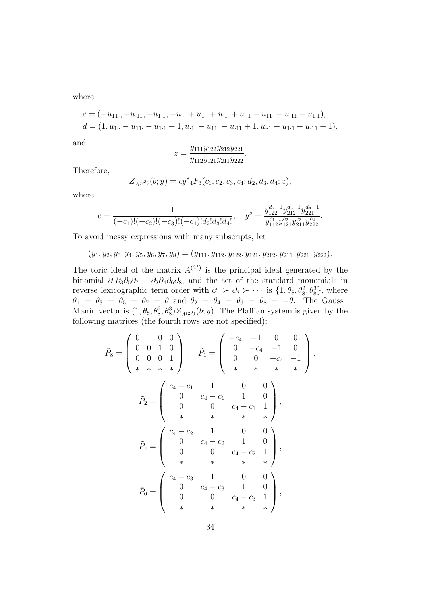where

$$
c = (-u_{11}, -u_{.11}, -u_{1.1}, -u_{...} + u_{1.1} + u_{.1} + u_{.1} - u_{11} - u_{.11} - u_{1.1}),
$$
  
\n
$$
d = (1, u_{1..} - u_{11} - u_{1.1} + 1, u_{.1} - u_{11} - u_{.11} + 1, u_{..1} - u_{1.1} - u_{.11} + 1),
$$

and

$$
z = \frac{y_{111}y_{122}y_{212}y_{221}}{y_{112}y_{121}y_{211}y_{222}}.
$$

Therefore,

$$
Z_{A^{(2^3)}}(b;y) = cy^s {}_4F_3(c_1, c_2, c_3, c_4; d_2, d_3, d_4; z),
$$

where

$$
c = \frac{1}{(-c_1)!(-c_2)!(-c_3)!(-c_4)!d_2!d_3!d_4!}, \quad y^s = \frac{y_{122}^{d_2-1}y_{212}^{d_3-1}y_{221}^{d_4-1}}{y_{112}^{c_1}y_{121}^{c_2}y_{211}^{c_3}y_{222}^{c_4}}.
$$

To avoid messy expressions with many subscripts, let

 $(y_1, y_2, y_3, y_4, y_5, y_6, y_7, y_8) = (y_{111}, y_{112}, y_{122}, y_{121}, y_{212}, y_{211}, y_{221}, y_{222}).$ 

The toric ideal of the matrix  $A^{(2^3)}$  is the principal ideal generated by the binomial  $\partial_1\partial_3\partial_5\partial_7 - \partial_2\partial_4\partial_6\partial_8$ , and the set of the standard monomials in reverse lexicographic term order with  $\partial_1 \succ \partial_2 \succ \cdots$  is  $\{1, \theta_8, \theta_8^2, \theta_8^3\}$ , where  $\theta_1 = \theta_3 = \theta_5 = \theta_7 = \theta$  and  $\theta_2 = \theta_4 = \theta_6 = \theta_8 = -\theta$ . The Gauss-Manin vector is  $(1, \theta_8, \theta_8^2, \theta_8^3)Z_{A^{(2^3)}}(b; y)$ . The Pfaffian system is given by the following matrices (the fourth rows are not specified):

$$
\tilde{P}_8 = \begin{pmatrix}\n0 & 1 & 0 & 0 \\
0 & 0 & 1 & 0 \\
0 & 0 & 0 & 1 \\
\ast & \ast & \ast & \ast\n\end{pmatrix}, \quad\n\tilde{P}_1 = \begin{pmatrix}\n-c_4 & -1 & 0 & 0 \\
0 & -c_4 & -1 & 0 \\
0 & 0 & -c_4 & -1 \\
\ast & \ast & \ast & \ast\n\end{pmatrix},
$$
\n
$$
\tilde{P}_2 = \begin{pmatrix}\nc_4 - c_1 & 1 & 0 & 0 \\
0 & c_4 - c_1 & 1 & 0 \\
0 & 0 & c_4 - c_1 & 1 \\
\ast & \ast & \ast & \ast\n\end{pmatrix},
$$
\n
$$
\tilde{P}_4 = \begin{pmatrix}\nc_4 - c_2 & 1 & 0 & 0 \\
0 & c_4 - c_2 & 1 & 0 \\
0 & 0 & c_4 - c_2 & 1 \\
\ast & \ast & \ast & \ast\n\end{pmatrix},
$$
\n
$$
\tilde{P}_6 = \begin{pmatrix}\nc_4 - c_3 & 1 & 0 & 0 \\
0 & c_4 - c_3 & 1 & 0 \\
0 & 0 & c_4 - c_3 & 1 \\
\ast & \ast & \ast & \ast\n\end{pmatrix},
$$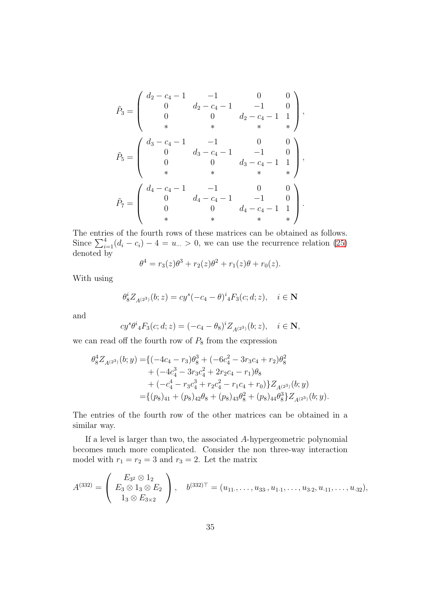$$
\tilde{P}_3 = \begin{pmatrix}\n d_2 - c_4 - 1 & -1 & 0 & 0 \\
 0 & d_2 - c_4 - 1 & -1 & 0 \\
 0 & 0 & d_2 - c_4 - 1 & 1 \\
 * & * & * & * \\
 0 & d_3 - c_4 - 1 & -1 & 0 \\
 0 & 0 & d_3 - c_4 - 1 & 1 \\
 * & * & * & * \\
 * & * & * & * \n\end{pmatrix},
$$
\n
$$
\tilde{P}_7 = \begin{pmatrix}\n d_4 - c_4 - 1 & -1 & 0 & 0 \\
 0 & d_4 - c_4 - 1 & -1 & 0 \\
 0 & 0 & d_4 - c_4 - 1 & 1 \\
 * & * & * & * \\
 * & * & * & * \n\end{pmatrix}.
$$

The entries of the fourth rows of these matrices can be obtained as follows. Since  $\sum_{i=1}^{4} (d_i - c_i) - 4 = u \approx 0$ , we can use the recurrence relation [\(25\)](#page-31-0) denoted by

$$
\theta^4 = r_3(z)\theta^3 + r_2(z)\theta^2 + r_1(z)\theta + r_0(z).
$$

With using

$$
\theta_8^i Z_{A^{(2^3)}}(b; z) = c y^s (-c_4 - \theta)^i {}_4F_3(c; d; z), \quad i \in \mathbb{N}
$$

and

$$
cy^{s}\theta^{i} {}_{4}F_{3}(c;d;z) = (-c_{4} - \theta_{8})^{i} Z_{A^{(2^{3})}}(b;z), \quad i \in \mathbb{N},
$$

we can read off the fourth row of  $P_8$  from the expression

$$
\theta_8^4 Z_{A^{(23)}}(b; y) = \{ (-4c_4 - r_3)\theta_8^3 + (-6c_4^2 - 3r_3c_4 + r_2)\theta_8^2 + (-4c_4^3 - 3r_3c_4^2 + 2r_2c_4 - r_1)\theta_8 + (-c_4^4 - r_3c_4^3 + r_2c_4^2 - r_1c_4 + r_0) \} Z_{A^{(23)}}(b; y) = \{ (p_8)_{41} + (p_8)_{42}\theta_8 + (p_8)_{43}\theta_8^2 + (p_8)_{44}\theta_8^3 \} Z_{A^{(23)}}(b; y).
$$

The entries of the fourth row of the other matrices can be obtained in a similar way.

If a level is larger than two, the associated A-hypergeometric polynomial becomes much more complicated. Consider the non three-way interaction model with  $r_1 = r_2 = 3$  and  $r_3 = 2$ . Let the matrix

$$
A^{(332)} = \begin{pmatrix} E_{3^2} \otimes 1_2 \\ E_3 \otimes 1_3 \otimes E_2 \\ 1_3 \otimes E_{3 \times 2} \end{pmatrix}, \quad b^{(332)^\top} = (u_{11\cdot}, \dots, u_{33\cdot}, u_{1\cdot 1}, \dots, u_{3\cdot 2}, u_{\cdot 11}, \dots, u_{\cdot 32}),
$$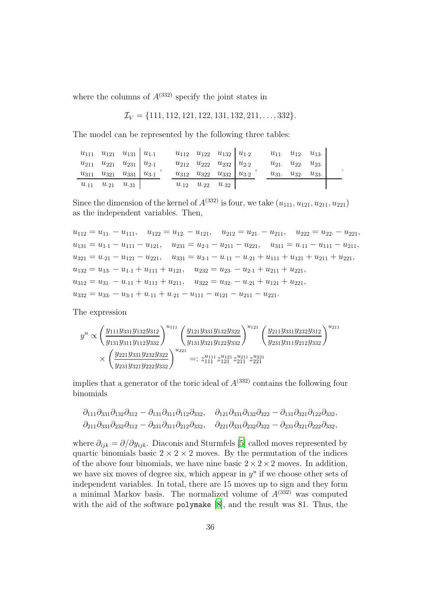where the columns of  $A^{(332)}$  specify the joint states in

$$
\mathcal{I}_V = \{111, 112, 121, 122, 131, 132, 211, \ldots, 332\}.
$$

The model can be represented by the following three tables:

| $u_{111}$ $u_{121}$ $u_{131}$ $u_{1.1}$      |  | $u_{112}$ $u_{122}$ $u_{132}$ $u_{1\cdot 2}$ |  | $u_{11}$ . $u_{12}$ . $u_{13}$ . |  |
|----------------------------------------------|--|----------------------------------------------|--|----------------------------------|--|
| $u_{211}$ $u_{221}$ $u_{231}$ $u_{2\cdot 1}$ |  | $u_{212}$ $u_{222}$ $u_{232}$ $u_{2\cdot 2}$ |  | $u_{21}$ . $u_{22}$ . $u_{23}$ . |  |
| $u_{311}$ $u_{321}$ $u_{331}$ $u_{3\cdot 1}$ |  | $u_{312}$ $u_{322}$ $u_{332}$ $u_{3\cdot 2}$ |  | $u_{31}$ . $u_{32}$ . $u_{33}$ . |  |
| $u_{.11}$ $u_{.21}$ $u_{.31}$                |  | $u_{.12}$ $u_{.22}$ $u_{.32}$                |  |                                  |  |

.

Since the dimension of the kernel of  $A^{(332)}$  is four, we take  $(u_{111}, u_{121}, u_{211}, u_{221})$ as the independent variables. Then,

 $u_{112} = u_{11} - u_{111}$ ,  $u_{122} = u_{12} - u_{121}$ ,  $u_{212} = u_{21} - u_{211}$ ,  $u_{222} = u_{22} - u_{221}$ ,  $u_{131} = u_{1\cdot 1} - u_{111} - u_{121}, \quad u_{231} = u_{2\cdot 1} - u_{211} - u_{221}, \quad u_{311} = u_{\cdot 11} - u_{111} - u_{211},$  $u_{321} = u_{21} - u_{121} - u_{221}$ ,  $u_{331} = u_{3\cdot1} - u_{\cdot11} - u_{\cdot21} + u_{111} + u_{121} + u_{211} + u_{221}$ ,  $u_{132} = u_{13} - u_{11} + u_{111} + u_{121}$ ,  $u_{232} = u_{23} - u_{21} + u_{211} + u_{221}$  $u_{312} = u_{31} - u_{11} + u_{111} + u_{211}$ ,  $u_{322} = u_{32} - u_{21} + u_{121} + u_{221}$ ,  $u_{332} = u_{33} - u_{3\cdot 1} + u_{\cdot 11} + u_{\cdot 21} - u_{111} - u_{121} - u_{211} - u_{221}.$ 

The expression

$$
y^{u} \propto \left(\frac{y_{111}y_{331}y_{132}y_{312}}{y_{131}y_{311}y_{112}y_{332}}\right)^{u_{111}} \left(\frac{y_{121}y_{331}y_{132}y_{322}}{y_{131}y_{321}y_{122}y_{332}}\right)^{u_{121}} \left(\frac{y_{211}y_{331}y_{232}y_{312}}{y_{231}y_{311}y_{212}y_{332}}\right)^{u_{211}} \\ \times \left(\frac{y_{221}y_{331}y_{232}y_{322}}{y_{231}y_{321}y_{222}y_{332}}\right)^{u_{221}} =: z_{111}^{u_{111}} z_{121}^{u_{121}} z_{211}^{u_{211}} z_{221}^{u_{221}}
$$

implies that a generator of the toric ideal of  $A^{(332)}$  contains the following four binomials

$$
\partial_{111}\partial_{331}\partial_{132}\partial_{312} - \partial_{131}\partial_{311}\partial_{112}\partial_{332}, \quad \partial_{121}\partial_{331}\partial_{132}\partial_{322} - \partial_{131}\partial_{321}\partial_{122}\partial_{332},
$$
  
\n
$$
\partial_{211}\partial_{331}\partial_{232}\partial_{312} - \partial_{231}\partial_{311}\partial_{212}\partial_{332}, \quad \partial_{221}\partial_{331}\partial_{232}\partial_{322} - \partial_{231}\partial_{321}\partial_{222}\partial_{332},
$$

where  $\partial_{ijk} = \partial/\partial y_{ijk}$ . Diaconis and Sturmfels [\[5\]](#page-37-0) called moves represented by quartic binomials basic  $2 \times 2 \times 2$  moves. By the permutation of the indices of the above four binomials, we have nine basic  $2 \times 2 \times 2$  moves. In addition, we have six moves of degree six, which appear in  $y^u$  if we choose other sets of independent variables. In total, there are 15 moves up to sign and they form a minimal Markov basis. The normalized volume of  $A^{(332)}$  was computed with the aid of the software polymake [\[8](#page-38-11)], and the result was 81. Thus, the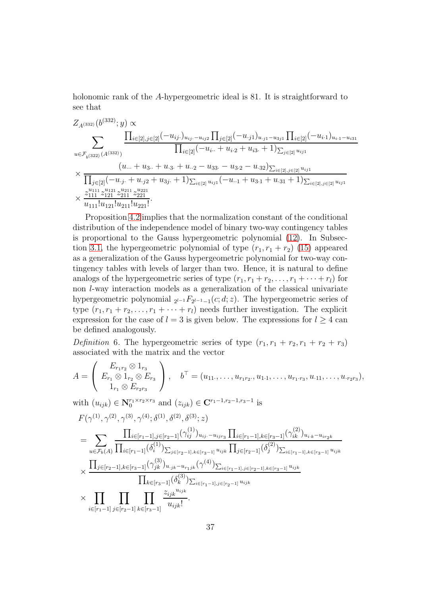holonomic rank of the A-hypergeometric ideal is 81. It is straightforward to see that

$$
Z_{A^{(332)}}(b^{(332)}; y) \propto
$$
\n
$$
\sum_{u \in \mathcal{F}_{b^{(322)}}(A^{(332)})} \frac{\prod_{i \in [2], j \in [2]} (-u_{ij.})_{u_{ij.} - u_{ij2}} \prod_{j \in [2]} (-u_{.j1})_{u_{.j1} - u_{3j1}} \prod_{i \in [2]} (-u_{i.1})_{u_{i.1} - u_{i31}}}{\prod_{i \in [2]} (-u_{i..} + u_{i.2} + u_{i3.} + 1)_{\sum_{j \in [2]} u_{ij1}}}
$$
\n
$$
\times \frac{(u_{...} + u_{3..} + u_{.3.} + u_{.2} - u_{33.} - u_{3.2} - u_{.32})_{\sum_{i \in [2], j \in [2]} u_{ij1}}}{\prod_{j \in [2]} (-u_{.j.} + u_{.j2} + u_{3j.} + 1)_{\sum_{i \in [2]} u_{ij1}} (-u_{.1} + u_{3.1} + u_{.31} + 1)_{\sum_{i \in [2], j \in [2]} u_{ij1}}}
$$
\n
$$
\times \frac{z_{1111}^{u_{111}} z_{121}^{u_{211}} z_{211}^{u_{211}} z_{221}^{u_{221}}}{u_{111!}! u_{121}! u_{211}! u_{221}!}.
$$

Proposition [4.2](#page-31-1) implies that the normalization constant of the conditional distribution of the independence model of binary two-way contingency tables is proportional to the Gauss hypergeometric polynomial [\(12\)](#page-12-2). In Subsec-tion [3.1,](#page-13-0) the hypergeometric polynomial of type  $(r_1, r_1 + r_2)$  [\(15\)](#page-14-1) appeared as a generalization of the Gauss hypergeometric polynomial for two-way contingency tables with levels of larger than two. Hence, it is natural to define analogs of the hypergeometric series of type  $(r_1, r_1 + r_2, \ldots, r_1 + \cdots + r_l)$  for non l-way interaction models as a generalization of the classical univariate hypergeometric polynomial  $_{2^{l-1}}F_{2^{l-1}-1}(c; d; z)$ . The hypergeometric series of type  $(r_1, r_1 + r_2, \ldots, r_1 + \cdots + r_l)$  needs further investigation. The explicit expression for the case of  $l = 3$  is given below. The expressions for  $l \geq 4$  can be defined analogously.

Definition 6. The hypergeometric series of type  $(r_1, r_1 + r_2, r_1 + r_2 + r_3)$ associated with the matrix and the vector

$$
A = \begin{pmatrix} E_{r_1r_2} \otimes 1_{r_3} \\ E_{r_1} \otimes 1_{r_2} \otimes E_{r_3} \\ 1_{r_1} \otimes E_{r_2r_3} \end{pmatrix}, \quad b^\top = (u_{11\cdot}, \dots, u_{r_1r_2\cdot}, u_{1\cdot 1}, \dots, u_{r_1\cdot r_3}, u_{\cdot 11}, \dots, u_{r_2r_3}),
$$

with  $(u_{ijk}) \in \mathbf{N}_0^{r_1 \times r_2 \times r_3}$  and  $(z_{ijk}) \in \mathbf{C}^{r_1 - 1, r_2 - 1, r_3 - 1}$  is

$$
F(\gamma^{(1)}, \gamma^{(2)}, \gamma^{(3)}, \gamma^{(4)}; \delta^{(1)}, \delta^{(2)}, \delta^{(3)}; z)
$$
\n
$$
= \sum_{u \in \mathcal{F}_b(A)} \frac{\prod_{i \in [r_1-1], j \in [r_2-1]} (\gamma_{ij}^{(1)})_{u_{ij}...u_{ijr_3}} \prod_{i \in [r_1-1], k \in [r_3-1]} (\gamma_{ik}^{(2)})_{u_{i,k}-u_{ir_2k}}}{\prod_{j \in [r_2-1], k \in [r_3-1]} (\delta_i^{(1)})_{\sum_{j \in [r_2-1], k \in [r_3-1]} u_{ijk}} \prod_{j \in [r_2-1]} (\delta_j^{(2)})_{\sum_{i \in [r_1-1], k \in [r_3-1]} u_{ijk}}
$$
\n
$$
\times \frac{\prod_{j \in [r_2-1], k \in [r_3-1]} (\gamma_{jk}^{(3)})_{u_{.jk}-u_{r_1jk}} (\gamma^{(4)})_{\sum_{i \in [r_1-1], j \in [r_2-1], k \in [r_3-1]} u_{ijk}}}{\prod_{k \in [r_3-1]} (\delta_k^{(3)})_{\sum_{i \in [r_1-1], j \in [r_2-1]} u_{ijk}}}
$$
\n
$$
\times \prod_{i \in [r_1-1], j \in [r_2-1]} \prod_{k \in [r_3-1]} \frac{z_{ijk}^{u_{ijk}}}{u_{ijk}!}.
$$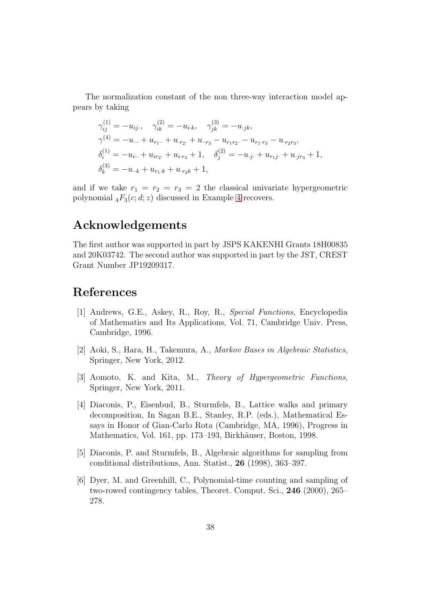The normalization constant of the non three-way interaction model appears by taking

$$
\gamma_{ij}^{(1)} = -u_{ij}, \quad \gamma_{ik}^{(2)} = -u_{ik}, \quad \gamma_{jk}^{(3)} = -u_{.jk},
$$
  
\n
$$
\gamma^{(4)} = -u_{...} + u_{r_1...} + u_{.r_2.} + u_{..r_3} - u_{r_1r_2.} - u_{r_1.r_3} - u_{.r_2r_3},
$$
  
\n
$$
\delta_i^{(1)} = -u_{i...} + u_{ir_2.} + u_{i.r_3} + 1, \quad \delta_j^{(2)} = -u_{.j.} + u_{r_1j.} + u_{.jr_3} + 1,
$$
  
\n
$$
\delta_k^{(3)} = -u_{..k} + u_{r_1.k} + u_{.r_2k} + 1,
$$

and if we take  $r_1 = r_2 = r_3 = 2$  the classical univariate hypergeometric polynomial  $_4F_3(c; d; z)$  discussed in Example [4](#page-32-1) recovers.

## Acknowledgements

The first author was supported in part by JSPS KAKENHI Grants 18H00835 and 20K03742. The second author was supported in part by the JST, CREST Grant Number JP19209317.

# References

- <span id="page-37-2"></span>[1] Andrews, G.E., Askey, R., Roy, R., Special Functions, Encyclopedia of Mathematics and Its Applications, Vol. 71, Cambridge Univ. Press, Cambridge, 1996.
- <span id="page-37-1"></span>[2] Aoki, S., Hara, H., Takemura, A., Markov Bases in Algebraic Statistics, Springer, New York, 2012.
- <span id="page-37-3"></span>[3] Aomoto, K. and Kita, M., Theory of Hypergeometric Functions, Springer, New York, 2011.
- <span id="page-37-4"></span>[4] Diaconis, P., Eisenbud, B., Sturmfels, B., Lattice walks and primary decomposition, In Sagan B.E., Stanley, R.P. (eds.), Mathematical Essays in Honor of Gian-Carlo Rota (Cambridge, MA, 1996), Progress in Mathematics, Vol. 161, pp. 173–193, Birkhäuser, Boston, 1998.
- <span id="page-37-0"></span>[5] Diaconis, P. and Sturmfels, B., Algebraic algorithms for sampling from conditional distributions, Ann. Statist., 26 (1998), 363–397.
- <span id="page-37-5"></span>[6] Dyer, M. and Greenhill, C., Polynomial-time counting and sampling of two-rowed contingency tables, Theoret. Comput. Sci., 246 (2000), 265– 278.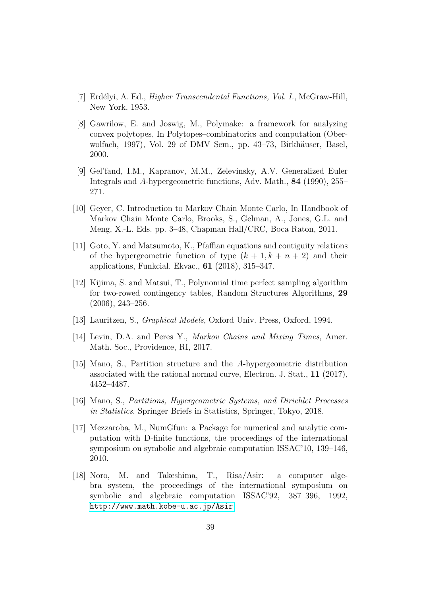- <span id="page-38-6"></span>[7] Erdélyi, A. Ed., *Higher Transcendental Functions, Vol. I.*, McGraw-Hill, New York, 1953.
- <span id="page-38-11"></span>[8] Gawrilow, E. and Joswig, M., Polymake: a framework for analyzing convex polytopes, In Polytopes–combinatorics and computation (Oberwolfach, 1997), Vol. 29 of DMV Sem., pp. 43-73, Birkhäuser, Basel, 2000.
- <span id="page-38-0"></span>[9] Gel'fand, I.M., Kapranov, M.M., Zelevinsky, A.V. Generalized Euler Integrals and A-hypergeometric functions, Adv. Math., 84 (1990), 255– 271.
- <span id="page-38-1"></span>[10] Geyer, C. Introduction to Markov Chain Monte Carlo, In Handbook of Markov Chain Monte Carlo, Brooks, S., Gelman, A., Jones, G.L. and Meng, X.-L. Eds. pp. 3–48, Chapman Hall/CRC, Boca Raton, 2011.
- <span id="page-38-8"></span>[11] Goto, Y. and Matsumoto, K., Pfaffian equations and contiguity relations of the hypergeometric function of type  $(k + 1, k + n + 2)$  and their applications, Funkcial. Ekvac., 61 (2018), 315–347.
- <span id="page-38-9"></span>[12] Kijima, S. and Matsui, T., Polynomial time perfect sampling algorithm for two-rowed contingency tables, Random Structures Algorithms, 29 (2006), 243–256.
- <span id="page-38-5"></span>[13] Lauritzen, S., Graphical Models, Oxford Univ. Press, Oxford, 1994.
- <span id="page-38-2"></span>[14] Levin, D.A. and Peres Y., Markov Chains and Mixing Times, Amer. Math. Soc., Providence, RI, 2017.
- <span id="page-38-3"></span>[15] Mano, S., Partition structure and the A-hypergeometric distribution associated with the rational normal curve, Electron. J. Stat., 11 (2017), 4452–4487.
- <span id="page-38-4"></span>[16] Mano, S., Partitions, Hypergeometric Systems, and Dirichlet Processes in Statistics, Springer Briefs in Statistics, Springer, Tokyo, 2018.
- <span id="page-38-10"></span>[17] Mezzaroba, M., NumGfun: a Package for numerical and analytic computation with D-finite functions, the proceedings of the international symposium on symbolic and algebraic computation ISSAC'10, 139–146, 2010.
- <span id="page-38-7"></span>[18] Noro, M. and Takeshima, T., Risa/Asir: a computer algebra system, the proceedings of the international symposium on symbolic and algebraic computation ISSAC'92, 387–396, 1992, <http://www.math.kobe-u.ac.jp/Asir>.